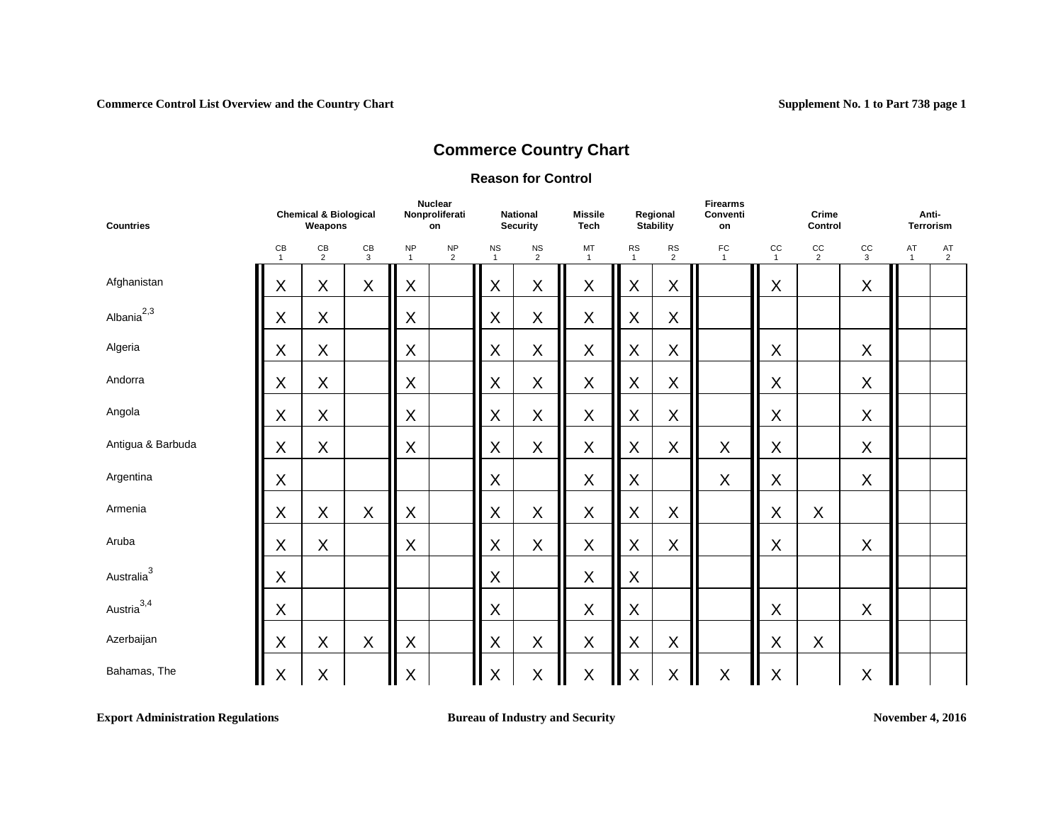#### **Reason for Control**

| <b>Countries</b>       | <b>Chemical &amp; Biological</b><br>Weapons<br>CB<br>$rac{CB}{2}$<br>CB<br>3<br>$\mathbf{1}$ |         |             | <b>Nuclear</b><br>Nonproliferati<br>on |                      | <b>National</b><br><b>Security</b> | <b>Missile</b><br><b>Tech</b> |                    | Regional<br><b>Stability</b> | <b>Firearms</b><br>Conventi<br>on |                | Crime<br>Control            |              | Anti-<br><b>Terrorism</b> |                    |                      |
|------------------------|----------------------------------------------------------------------------------------------|---------|-------------|----------------------------------------|----------------------|------------------------------------|-------------------------------|--------------------|------------------------------|-----------------------------------|----------------|-----------------------------|--------------|---------------------------|--------------------|----------------------|
|                        |                                                                                              |         |             | <b>NP</b><br>$\overline{1}$            | NP<br>$\overline{2}$ | $_{\rm NS}$<br>$\mathbf{1}$        | $\frac{NS}{2}$                | MT<br>$\mathbf{1}$ | RS<br>$\mathbf{1}$           | <b>RS</b><br>$\overline{2}$       | F <sub>C</sub> | $_{\rm CC}$<br>$\mathbf{1}$ | $rac{CC}{2}$ | cc<br>$\mathbf{3}$        | AT<br>$\mathbf{1}$ | AT<br>$\overline{2}$ |
| Afghanistan            | X                                                                                            | X       | $\mathsf X$ | X                                      |                      | X                                  | X                             | X                  | $\sf X$                      | X                                 |                | X                           |              | X                         |                    |                      |
| Albania $^{2,3}$       | X                                                                                            | X       |             | X                                      |                      | X                                  | X                             | $\sf X$            | $\mathsf X$                  | X                                 |                |                             |              |                           |                    |                      |
| Algeria                | X                                                                                            | $\sf X$ |             | X                                      |                      | X                                  | X                             | $\sf X$            | $\boldsymbol{\mathsf{X}}$    | X                                 |                | X                           |              | $\sf X$                   |                    |                      |
| Andorra                | X                                                                                            | $\sf X$ |             | X                                      |                      | X                                  | $\mathsf X$                   | $\mathsf X$        | $\sf X$                      | X                                 |                | $\sf X$                     |              | $\mathsf X$               |                    |                      |
| Angola                 | X                                                                                            | $\sf X$ |             | X                                      |                      | X                                  | $\mathsf X$                   | $\mathsf X$        | X                            | X                                 |                | X                           |              | $\mathsf X$               |                    |                      |
| Antigua & Barbuda      | X                                                                                            | X       |             | X                                      |                      | X                                  | $\sf X$                       | $\mathsf X$        | $\sf X$                      | X                                 | $\mathsf X$    | X                           |              | $\mathsf X$               |                    |                      |
| Argentina              | X                                                                                            |         |             |                                        |                      | X                                  |                               | $\mathsf X$        | X                            |                                   | $\sf X$        | X                           |              | $\mathsf X$               |                    |                      |
| Armenia                | $\mathsf X$                                                                                  | $\sf X$ | X           | $\mathsf X$                            |                      | X                                  | $\mathsf X$                   | $\sf X$            | $\sf X$                      | X                                 |                | $\mathsf X$                 | X            |                           |                    |                      |
| Aruba                  | $\sf X$                                                                                      | $\sf X$ |             | $\sf X$                                |                      | X                                  | $\mathsf X$                   | $\mathsf X$        | X                            | X                                 |                | $\sf X$                     |              | $\mathsf X$               |                    |                      |
| Australia $3$          | X                                                                                            |         |             |                                        |                      | X                                  |                               | $\mathsf X$        | $\mathsf X$                  |                                   |                |                             |              |                           |                    |                      |
| Austria <sup>3,4</sup> | X                                                                                            |         |             |                                        |                      | X                                  |                               | $\mathsf X$        | X                            |                                   |                | X                           |              | $\mathsf X$               |                    |                      |
| Azerbaijan             | $\mathsf X$                                                                                  | X       | X           | $\boldsymbol{\mathsf{X}}$              |                      | X                                  | $\mathsf X$                   | $\sf X$            | $\mathsf X$                  | X                                 |                | $\mathsf X$                 | $\sf X$      |                           |                    |                      |
| Bahamas, The           | $\mathsf X$                                                                                  | $\sf X$ |             | X                                      |                      | X                                  | $\mathsf X$                   | $\mathsf X$        | $\mathsf X$                  | $\mathsf X$                       | X              | X                           |              | $\mathsf X$               |                    |                      |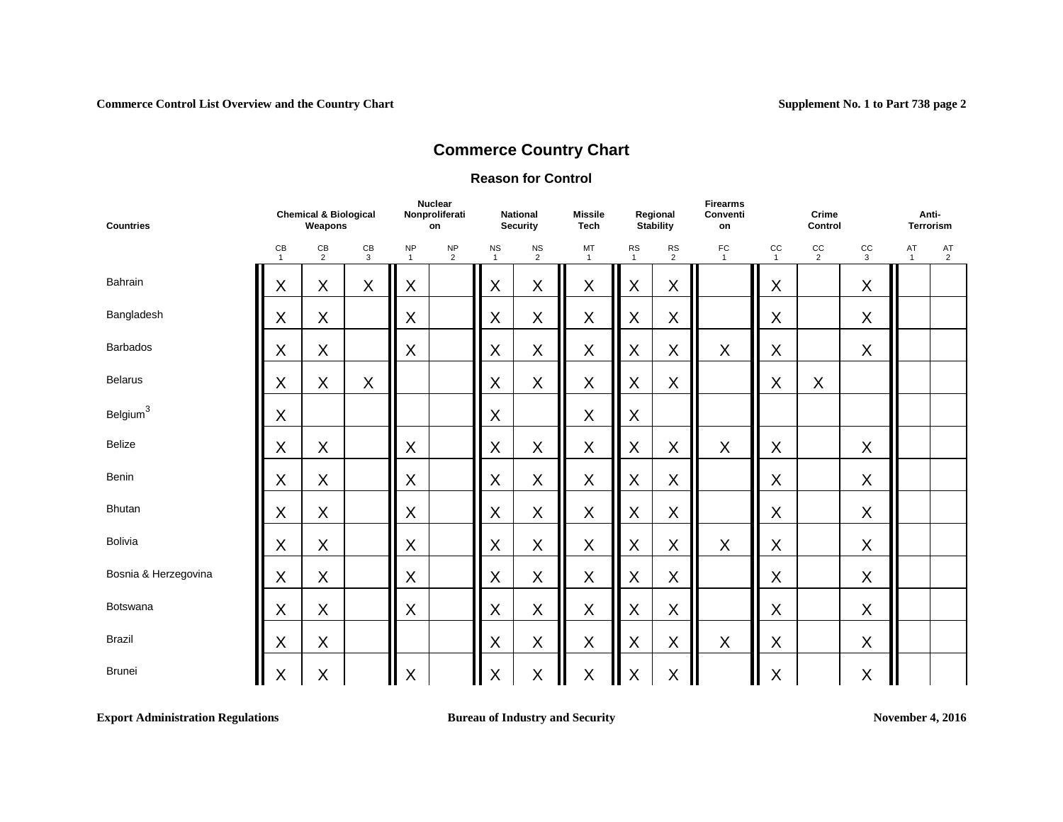#### **Reason for Control**

| <b>Countries</b>     | <b>Chemical &amp; Biological</b><br>Weapons<br>CB<br>CB<br>CB<br>$\overline{2}$<br>3<br>$\mathbf{1}$ |         |         | <b>Nuclear</b><br>Nonproliferati<br>on |                             | <b>National</b><br><b>Security</b> | <b>Missile</b><br><b>Tech</b> |                    | Regional<br><b>Stability</b> | <b>Firearms</b><br>Conventi<br>on |                              | Crime<br>Control   |                      | Anti-<br>Terrorism |                    |                      |
|----------------------|------------------------------------------------------------------------------------------------------|---------|---------|----------------------------------------|-----------------------------|------------------------------------|-------------------------------|--------------------|------------------------------|-----------------------------------|------------------------------|--------------------|----------------------|--------------------|--------------------|----------------------|
|                      |                                                                                                      |         |         | <b>NP</b><br>$\overline{1}$            | <b>NP</b><br>$\overline{2}$ | <b>NS</b><br>$\mathbf{1}$          | <b>NS</b><br>$\overline{2}$   | MT<br>$\mathbf{1}$ | <b>RS</b><br>$\mathbf{1}$    | <b>RS</b><br>$\overline{2}$       | ${\sf FC}$<br>$\overline{1}$ | cc<br>$\mathbf{1}$ | cc<br>$\overline{2}$ | cc<br>3            | AT<br>$\mathbf{1}$ | AT<br>$\overline{2}$ |
| Bahrain              | $\sf X$                                                                                              | X       | $\sf X$ | X                                      |                             | X                                  | $\sf X$                       | $\sf X$            | $\sf X$                      | $\pmb{\mathsf{X}}$                |                              | X                  |                      | X                  |                    |                      |
| Bangladesh           | X                                                                                                    | X       |         | X                                      |                             | X                                  | X                             | X                  | X                            | $\pmb{\mathsf{X}}$                |                              | X                  |                      | X                  |                    |                      |
| Barbados             | $\sf X$                                                                                              | $\sf X$ |         | X                                      |                             | X                                  | $\mathsf X$                   | X                  | $\mathsf X$                  | $\pmb{\mathsf{X}}$                | $\sf X$                      | X                  |                      | X                  |                    |                      |
| <b>Belarus</b>       | X                                                                                                    | X       | $\sf X$ |                                        |                             | X                                  | X                             | X                  | X                            | $\sf X$                           |                              | X                  | X                    |                    |                    |                      |
| Belgium $3$          | X                                                                                                    |         |         |                                        |                             | X                                  |                               | $\sf X$            | X                            |                                   |                              |                    |                      |                    |                    |                      |
| Belize               | $\mathsf{X}$                                                                                         | X       |         | X                                      |                             | X                                  | X                             | X                  | X                            | X                                 | X                            | X                  |                      | X                  |                    |                      |
| Benin                | $\sf X$                                                                                              | X       |         | X                                      |                             | X                                  | $\mathsf X$                   | X                  | $\sf X$                      | $\pmb{\mathsf{X}}$                |                              | X                  |                      | X                  |                    |                      |
| <b>Bhutan</b>        | X                                                                                                    | X       |         | X                                      |                             | X                                  | X                             | X                  | X                            | $\sf X$                           |                              | X                  |                      | X                  |                    |                      |
| Bolivia              | $\sf X$                                                                                              | X       |         | X                                      |                             | X                                  | $\mathsf X$                   | X                  | $\sf X$                      | $\pmb{\mathsf{X}}$                | $\sf X$                      | X                  |                      | X                  |                    |                      |
| Bosnia & Herzegovina | X                                                                                                    | X       |         | X                                      |                             | X                                  | $\sf X$                       | X                  | X                            | $\sf X$                           |                              | X                  |                      | X                  |                    |                      |
| Botswana             | $\sf X$                                                                                              | X       |         | X                                      |                             | $\mathsf X$                        | $\mathsf X$                   | X                  | $\mathsf X$                  | $\pmb{\mathsf{X}}$                |                              | X                  |                      | X                  |                    |                      |
| <b>Brazil</b>        | X                                                                                                    | X       |         |                                        |                             | X                                  | X                             | X                  | $\sf X$                      | $\sf X$                           | X                            | X                  |                      | X                  |                    |                      |
| <b>Brunei</b>        | $\sf X$                                                                                              | $\sf X$ |         | $\sf X$                                |                             | $\sf X$                            | X<br>Ш                        | $\sf X$            | $\sf X$                      | $\sf X$                           |                              | X                  |                      | $\sf X$            |                    |                      |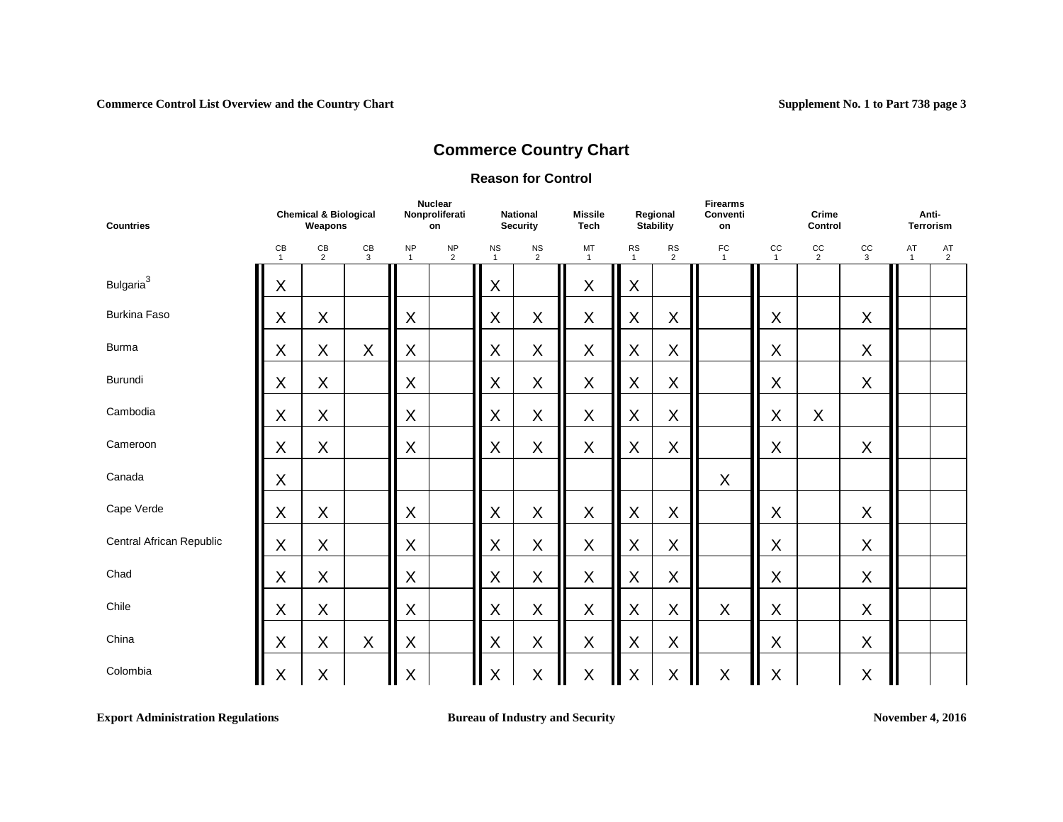#### **Reason for Control**

| <b>Countries</b>         | <b>Chemical &amp; Biological</b><br>Weapons<br>$\mathsf{CB}$<br>$\mathsf{CB}$<br>$rac{CB}{2}$<br>$\mathbf{3}$<br>$\mathbf{1}$ |             |   | <b>Nuclear</b><br>Nonproliferati<br>on |                | <b>National</b><br><b>Security</b> | <b>Missile</b><br><b>Tech</b> |                    | Regional<br><b>Stability</b> | <b>Firearms</b><br>Conventi<br>on |                           | Crime<br>Control   |                               | Anti-<br><b>Terrorism</b> |                    |                      |
|--------------------------|-------------------------------------------------------------------------------------------------------------------------------|-------------|---|----------------------------------------|----------------|------------------------------------|-------------------------------|--------------------|------------------------------|-----------------------------------|---------------------------|--------------------|-------------------------------|---------------------------|--------------------|----------------------|
|                          |                                                                                                                               |             |   | <b>NP</b><br>$\overline{1}$            | $\frac{NP}{2}$ | <b>NS</b><br>$\mathbf{1}$          | $\frac{NS}{2}$                | MT<br>$\mathbf{1}$ | <b>RS</b><br>$\mathbf{1}$    | $\frac{RS}{2}$                    | F <sub>C</sub>            | cc<br>$\mathbf{1}$ | $_{\rm CC}$<br>$\overline{2}$ | $rac{CC}{3}$              | AT<br>$\mathbf{1}$ | AT<br>$\overline{2}$ |
| Bulgaria <sup>3</sup>    | $\sf X$                                                                                                                       |             |   |                                        |                | X                                  |                               | $\mathsf X$        | $\sf X$                      |                                   |                           |                    |                               |                           |                    |                      |
| <b>Burkina Faso</b>      | $\sf X$                                                                                                                       | X           |   | X                                      |                | X                                  | X                             | $\mathsf X$        | $\mathsf X$                  | X                                 |                           | X                  |                               | $\mathsf X$               |                    |                      |
| <b>Burma</b>             | X                                                                                                                             | X           | X | X                                      |                | X                                  | X                             | $\mathsf X$        | $\sf X$                      | $\mathsf X$                       |                           | X                  |                               | X                         |                    |                      |
| Burundi                  | $\sf X$                                                                                                                       | X           |   | X                                      |                | X                                  | $\sf X$                       | $\mathsf X$        | $\mathsf X$                  | $\times$                          |                           | X                  |                               | $\sf X$                   |                    |                      |
| Cambodia                 | $\sf X$                                                                                                                       | X           |   | X                                      |                | $\sf X$                            | X                             | $\mathsf X$        | $\sf X$                      | X                                 |                           | $\sf X$            | $\sf X$                       |                           |                    |                      |
| Cameroon                 | $\sf X$                                                                                                                       | X           |   | X                                      |                | X                                  | X                             | $\sf X$            | $\sf X$                      | $\sf X$                           |                           | X                  |                               | $\mathsf X$               |                    |                      |
| Canada                   | $\sf X$                                                                                                                       |             |   |                                        |                |                                    |                               |                    |                              |                                   | X                         |                    |                               |                           |                    |                      |
| Cape Verde               | $\sf X$                                                                                                                       | X           |   | $\sf X$                                |                | X                                  | X                             | $\mathsf X$        | $\sf X$                      | X                                 |                           | $\sf X$            |                               | $\sf X$                   |                    |                      |
| Central African Republic | $\sf X$                                                                                                                       | X           |   | X                                      |                | X                                  | X                             | $\mathsf X$        | X                            | $\mathsf X$                       |                           | X                  |                               | X                         |                    |                      |
| Chad                     | $\sf X$                                                                                                                       | X           |   | $\sf X$                                |                | X                                  | X                             | $\mathsf X$        | $\sf X$                      | $\mathsf X$                       |                           | X                  |                               | $\sf X$                   |                    |                      |
| Chile                    | $\sf X$                                                                                                                       | X           |   | X                                      |                | X                                  | $\mathsf X$                   | $\mathsf X$        | $\mathsf X$                  | $\mathsf X$                       | X                         | X                  |                               | $\mathsf X$               |                    |                      |
| China                    | $\sf X$                                                                                                                       | X           | X | $\sf X$                                |                | X                                  | X                             | $\sf X$            | $\sf X$                      | $\sf X$                           |                           | X                  |                               | $\mathsf X$               |                    |                      |
| Colombia                 | $\sf X$                                                                                                                       | $\mathsf X$ |   | $\sf X$                                |                | $\sf X$                            | $\sf X$                       | $\sf X$<br>Ш       | $\sf X$                      | $\sf X$                           | $\boldsymbol{\mathsf{X}}$ | $\sf X$            |                               | $\mathsf X$               |                    |                      |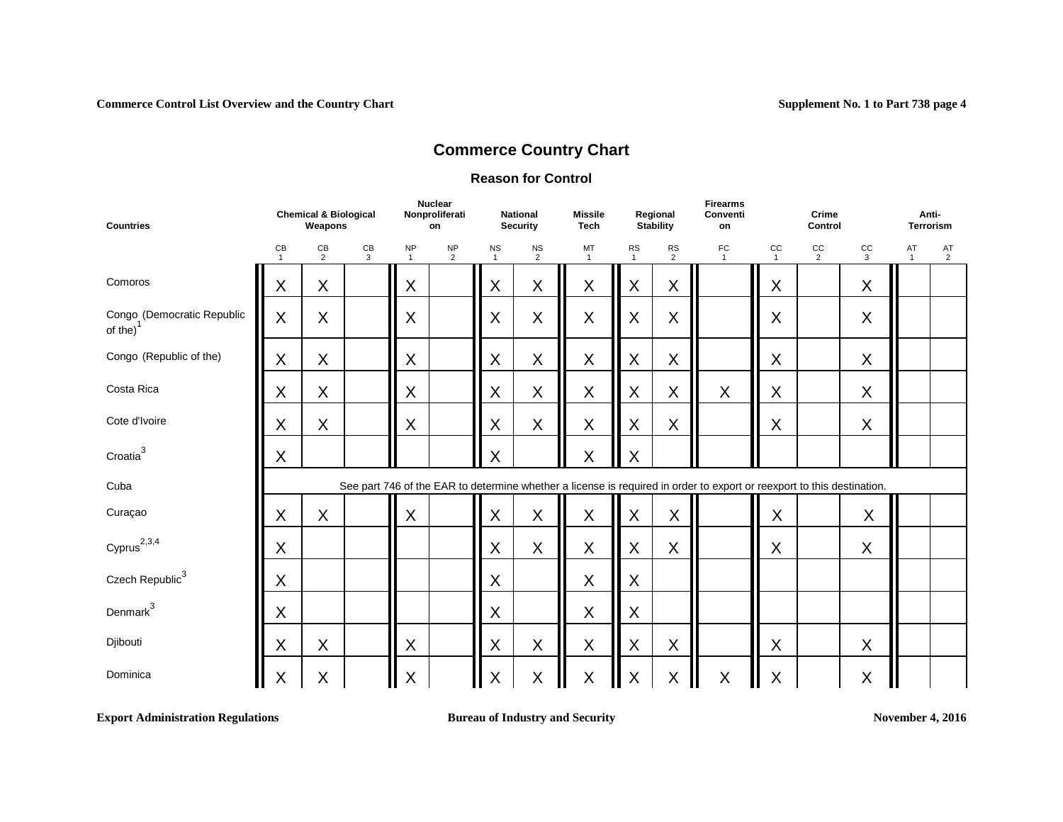#### **Reason for Control**

| <b>Countries</b>                                     | <b>Chemical &amp; Biological</b><br>Weapons<br>CB<br>CB<br>CB<br>$\overline{2}$<br>3<br>$\mathbf{1}$ |   |  |                           | <b>Nuclear</b><br>Nonproliferati<br>on |                           | <b>National</b><br><b>Security</b> | <b>Missile</b><br><b>Tech</b> |                           | Regional<br>Stability       | <b>Firearms</b><br>Conventi<br>on                                                                                      |                    | Crime<br>Control              |                  | Anti-<br><b>Terrorism</b> |                      |
|------------------------------------------------------|------------------------------------------------------------------------------------------------------|---|--|---------------------------|----------------------------------------|---------------------------|------------------------------------|-------------------------------|---------------------------|-----------------------------|------------------------------------------------------------------------------------------------------------------------|--------------------|-------------------------------|------------------|---------------------------|----------------------|
|                                                      |                                                                                                      |   |  | <b>NP</b><br>$\mathbf{1}$ | <b>NP</b><br>$\overline{2}$            | <b>NS</b><br>$\mathbf{1}$ | $\frac{NS}{2}$                     | MT<br>$\mathbf{1}$            | <b>RS</b><br>$\mathbf{1}$ | <b>RS</b><br>$\overline{2}$ | FC<br>$\mathbf{1}$                                                                                                     | CC<br>$\mathbf{1}$ | $_{\rm CC}$<br>$\overline{2}$ | $_{\rm CC}$<br>3 | AT<br>$\mathbf{1}$        | AT<br>$\overline{2}$ |
| Comoros                                              | X                                                                                                    | X |  | X                         |                                        | X                         | X                                  | X                             | X                         | $\sf X$                     |                                                                                                                        | X                  |                               | X                |                           |                      |
| Congo (Democratic Republic<br>of the) $\overline{ }$ | X                                                                                                    | X |  | X                         |                                        | X                         | X                                  | X                             | $\sf X$                   | X                           |                                                                                                                        | X                  |                               | $\sf X$          |                           |                      |
| Congo (Republic of the)                              | X                                                                                                    | X |  | X                         |                                        | X                         | $\sf X$                            | $\mathsf X$                   | $\sf X$                   | $\sf X$                     |                                                                                                                        | X                  |                               | $\mathsf X$      |                           |                      |
| Costa Rica                                           | X                                                                                                    | X |  | X                         |                                        | X                         | X                                  | $\mathsf X$                   | $\mathsf X$               | $\sf X$                     | $\mathsf X$                                                                                                            | X                  |                               | $\sf X$          |                           |                      |
| Cote d'Ivoire                                        | X                                                                                                    | X |  | X                         |                                        | X                         | X                                  | X                             | X                         | $\sf X$                     |                                                                                                                        | X                  |                               | $\sf X$          |                           |                      |
| $C$ roatia $3$                                       | X                                                                                                    |   |  |                           |                                        | X                         |                                    | $\sf X$                       | $\sf X$                   |                             |                                                                                                                        |                    |                               |                  |                           |                      |
| Cuba                                                 |                                                                                                      |   |  |                           |                                        |                           |                                    |                               |                           |                             | See part 746 of the EAR to determine whether a license is required in order to export or reexport to this destination. |                    |                               |                  |                           |                      |
| Curaçao                                              | X                                                                                                    | X |  | X                         |                                        | X                         | X                                  | X                             | X                         | X                           |                                                                                                                        | X                  |                               | X                |                           |                      |
| $C$ yprus $^{2,3,4}$                                 | X                                                                                                    |   |  |                           |                                        | X                         | X                                  | X                             | X                         | X                           |                                                                                                                        | X                  |                               | $\sf X$          |                           |                      |
| Czech Republic <sup>3</sup>                          | X                                                                                                    |   |  |                           |                                        | X                         |                                    | X                             | X                         |                             |                                                                                                                        |                    |                               |                  |                           |                      |
| Denmark $^3$                                         | X                                                                                                    |   |  |                           |                                        | Χ                         |                                    | X                             | X                         |                             |                                                                                                                        |                    |                               |                  |                           |                      |
| Djibouti                                             | X                                                                                                    | X |  | X                         |                                        | X                         | X                                  | X                             | $\sf X$                   | $\sf X$                     |                                                                                                                        | X                  |                               | $\sf X$          |                           |                      |
| Dominica                                             | X                                                                                                    | X |  | X                         |                                        | X                         | X                                  | $\mathsf X$                   | $\sf X$                   | X<br>Ш                      | $\sf X$                                                                                                                | $\sf X$            |                               | $\sf X$          |                           |                      |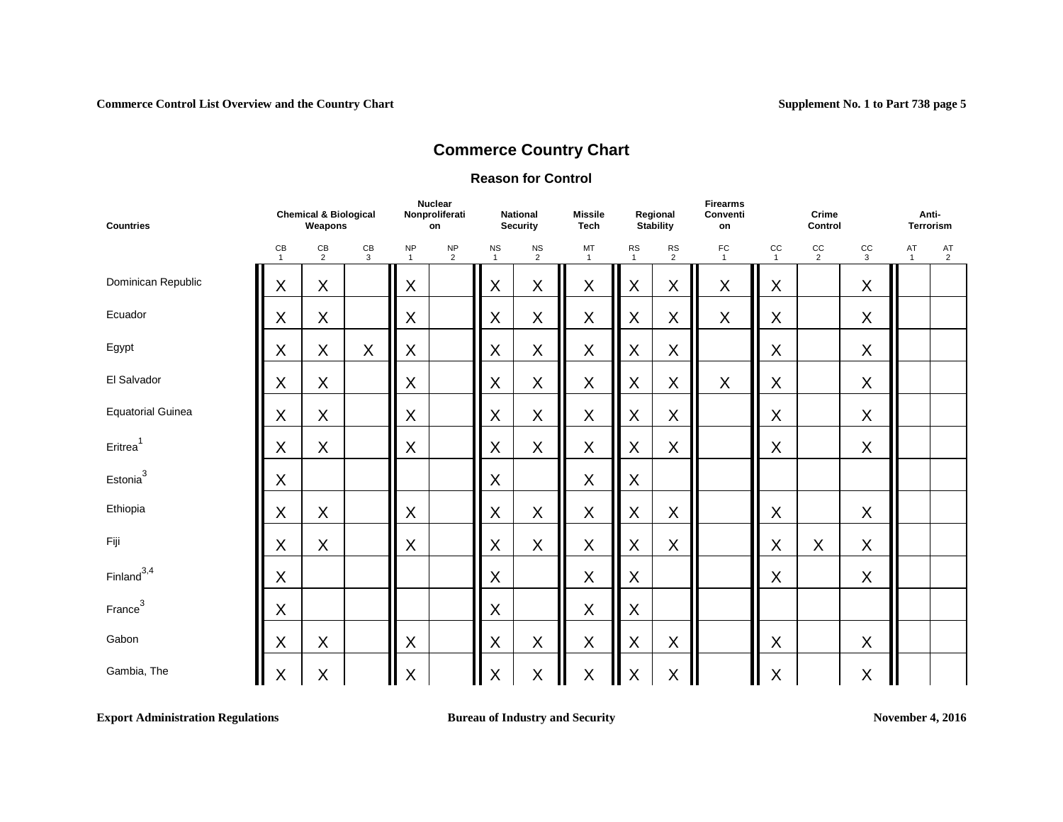#### **Reason for Control**

| <b>Countries</b>         | <b>Chemical &amp; Biological</b><br>Weapons<br>$\mathsf{CB}$<br>CB<br>$\frac{CB}{2}$<br>$\mathbf{3}$<br>$\mathbf{1}$ |             |                             |                            | <b>Nuclear</b><br>Nonproliferati<br>on |                | <b>National</b><br><b>Security</b> | <b>Missile</b><br><b>Tech</b> |                | Regional<br><b>Stability</b> | <b>Firearms</b><br>Conventi<br>on |                      | Crime<br>Control |                    | Anti-<br>Terrorism   |  |
|--------------------------|----------------------------------------------------------------------------------------------------------------------|-------------|-----------------------------|----------------------------|----------------------------------------|----------------|------------------------------------|-------------------------------|----------------|------------------------------|-----------------------------------|----------------------|------------------|--------------------|----------------------|--|
|                          | $\mathsf X$<br>X                                                                                                     |             | <b>NP</b><br>$\overline{1}$ | $\sf NP$<br>$\overline{2}$ | <b>NS</b><br>$\mathbf{1}$              | $\frac{NS}{2}$ | MT<br>$\mathbf{1}$                 | RS<br>$\mathbf{1}$            | $\frac{RS}{2}$ | FC<br>$\mathbf{1}$           | CC<br>$\mathbf{1}$                | cc<br>$\overline{2}$ | $rac{CC}{3}$     | AT<br>$\mathbf{1}$ | AT<br>$\overline{2}$ |  |
| Dominican Republic       |                                                                                                                      |             |                             | X                          |                                        | $\mathsf X$    | X                                  | $\mathsf X$                   | $\mathsf X$    | X                            | X                                 | X                    |                  | X                  |                      |  |
| Ecuador                  | X                                                                                                                    | X           |                             | X                          |                                        | X              | $\sf X$                            | $\mathsf X$                   | $\mathsf X$    | X                            | X                                 | X                    |                  | X                  |                      |  |
| Egypt                    | X                                                                                                                    | X           | $\sf X$                     | X                          |                                        | X              | $\mathsf X$                        | $\mathsf X$                   | $\mathsf X$    | $\sf X$                      |                                   | $\mathsf X$          |                  | X                  |                      |  |
| El Salvador              | X                                                                                                                    | X           |                             | X                          |                                        | X              | $\mathsf X$                        | $\mathsf X$                   | $\mathsf X$    | X                            | X                                 | X                    |                  | X                  |                      |  |
| <b>Equatorial Guinea</b> | X                                                                                                                    | X           |                             | X                          |                                        | X              | $\mathsf X$                        | $\mathsf X$                   | $\mathsf X$    | $\sf X$                      |                                   | $\mathsf X$          |                  | X                  |                      |  |
| Eritrea <sup>1</sup>     | X                                                                                                                    | X           |                             | X                          |                                        | X              | $\sf X$                            | $\sf X$                       | $\sf X$        | $\sf X$                      |                                   | X                    |                  | X                  |                      |  |
| Estonia <sup>3</sup>     | X                                                                                                                    |             |                             |                            |                                        | X              |                                    | $\sf X$                       | X              |                              |                                   |                      |                  |                    |                      |  |
| Ethiopia                 | $\sf X$                                                                                                              | X           |                             | X                          |                                        | X              | X                                  | $\sf X$                       | $\sf X$        | $\sf X$                      |                                   | X                    |                  | X                  |                      |  |
| Fiji                     | X                                                                                                                    | X           |                             | $\sf X$                    |                                        | X              | $\mathsf X$                        | $\mathsf X$                   | $\mathsf X$    | $\sf X$                      |                                   | X                    | X                | X                  |                      |  |
| $Finland^{3,4}$          | X                                                                                                                    |             |                             |                            |                                        | X              |                                    | $\mathsf X$                   | X              |                              |                                   | X                    |                  | X                  |                      |  |
| France <sup>3</sup>      | X                                                                                                                    |             |                             |                            |                                        | X              |                                    | X                             | X              |                              |                                   |                      |                  |                    |                      |  |
| Gabon                    | $\sf X$                                                                                                              | X           |                             | $\mathsf X$                |                                        | X              | $\mathsf X$                        | $\sf X$                       | $\sf X$        | $\sf X$                      |                                   | X                    |                  | X                  |                      |  |
| Gambia, The              | $\pmb{\times}$                                                                                                       | $\mathsf X$ |                             | X                          |                                        | $\mathsf X$    | $\mathsf X$                        | $\sf X$<br>Ш                  | $\mathsf X$    | $\sf X$                      |                                   | $\sf X$              |                  | $\mathsf X$        |                      |  |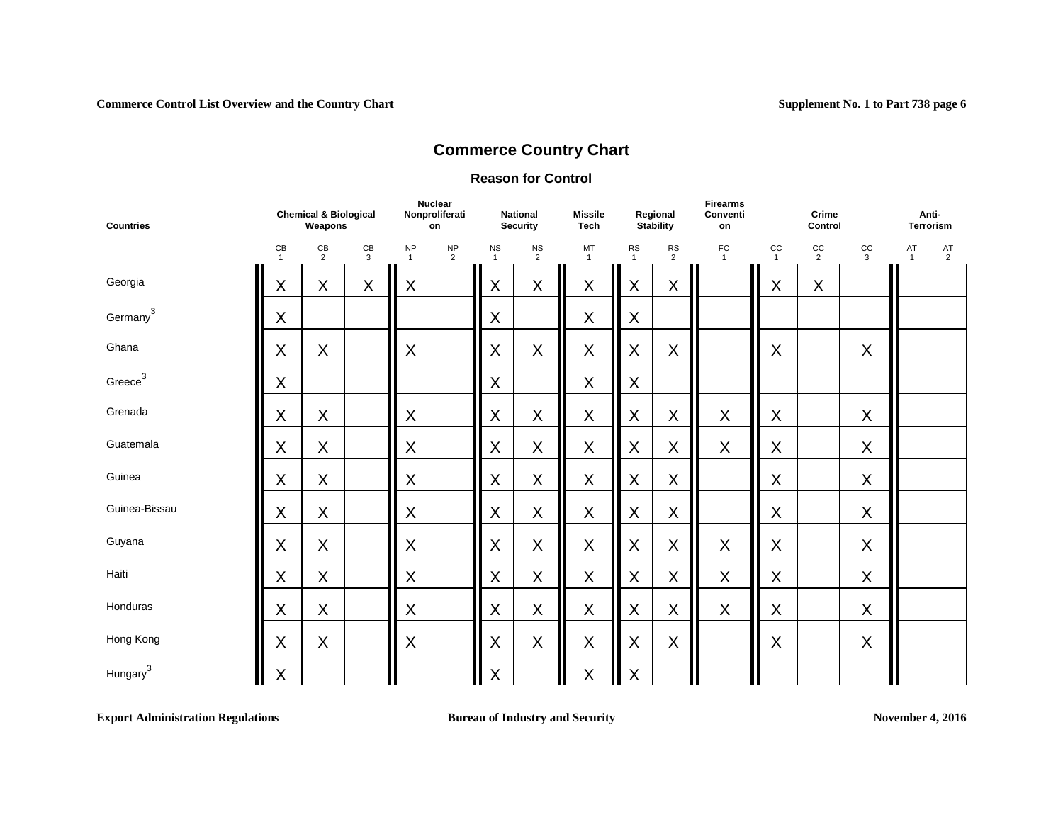#### **Reason for Control**

| <b>Countries</b>     | <b>Chemical &amp; Biological</b><br>Weapons<br>$\mathsf{CB}$<br>$rac{CB}{3}$<br>$\frac{CB}{2}$<br>$\overline{1}$ |         |   |                            | <b>Nuclear</b><br>Nonproliferati<br>on |                           | <b>National</b><br><b>Security</b> | <b>Missile</b><br><b>Tech</b> |                            | Regional<br>Stability | <b>Firearms</b><br>Conventi<br>on |                      | Crime<br>Control |              | Anti-<br><b>Terrorism</b> |             |
|----------------------|------------------------------------------------------------------------------------------------------------------|---------|---|----------------------------|----------------------------------------|---------------------------|------------------------------------|-------------------------------|----------------------------|-----------------------|-----------------------------------|----------------------|------------------|--------------|---------------------------|-------------|
|                      |                                                                                                                  |         |   | $\sf NP$<br>$\overline{1}$ | NP<br>$\overline{2}$                   | <b>NS</b><br>$\mathbf{1}$ | $\frac{NS}{2}$                     | MT<br>$\overline{1}$          | ${\sf RS}$<br>$\mathbf{1}$ | $\frac{RS}{2}$        | F <sub>1</sub>                    | cc<br>$\overline{1}$ | $rac{CC}{2}$     | $rac{CC}{3}$ | AT<br>$\mathbf{1}$        | $^{AT}_{2}$ |
| Georgia              | X                                                                                                                | X       | X | X                          |                                        | X                         | X                                  | X                             | $\mathsf X$                | $\sf X$               |                                   | X                    | $\sf X$          |              |                           |             |
| Germany <sup>3</sup> | $\sf X$                                                                                                          |         |   |                            |                                        | $\mathsf X$               |                                    | X                             | X                          |                       |                                   |                      |                  |              |                           |             |
| Ghana                | $\sf X$                                                                                                          | X       |   | X                          |                                        | $\mathsf X$               | X                                  | $\mathsf X$                   | $\mathsf X$                | $\sf X$               |                                   | X                    |                  | $\sf X$      |                           |             |
| Greece <sup>3</sup>  | X                                                                                                                |         |   |                            |                                        | X                         |                                    | X                             | X                          |                       |                                   |                      |                  |              |                           |             |
| Grenada              | $\sf X$                                                                                                          | X       |   | X                          |                                        | X                         | X                                  | $\mathsf X$                   | X                          | X                     | X                                 | X                    |                  | $\mathsf X$  |                           |             |
| Guatemala            | $\sf X$                                                                                                          | $\sf X$ |   | X                          |                                        | $\mathsf X$               | X                                  | X                             | $\sf X$                    | $\sf X$               | $\boldsymbol{\mathsf{X}}$         | X                    |                  | $\sf X$      |                           |             |
| Guinea               | $\sf X$                                                                                                          | X       |   | X                          |                                        | $\mathsf X$               | X                                  | $\mathsf X$                   | $\mathsf X$                | $\sf X$               |                                   | X                    |                  | $\mathsf X$  |                           |             |
| Guinea-Bissau        | X                                                                                                                | X       |   | X                          |                                        | $\mathsf X$               | X                                  | X                             | $\sf X$                    | $\sf X$               |                                   | X                    |                  | $\sf X$      |                           |             |
| Guyana               | $\sf X$                                                                                                          | $\sf X$ |   | Χ                          |                                        | $\mathsf X$               | X                                  | $\mathsf X$                   | $\mathsf X$                | $\sf X$               | X                                 | X                    |                  | $\sf X$      |                           |             |
| Haiti                | $\sf X$                                                                                                          | $\sf X$ |   | X                          |                                        | $\mathsf X$               | X                                  | X                             | $\mathsf X$                | $\sf X$               | X                                 | X                    |                  | $\mathsf X$  |                           |             |
| Honduras             | X                                                                                                                | X       |   | X                          |                                        | $\mathsf X$               | X                                  | $\mathsf X$                   | $\mathsf X$                | $\pmb{\times}$        | X                                 | X                    |                  | $\mathsf X$  |                           |             |
| Hong Kong            | X                                                                                                                | X       |   | X                          |                                        | $\mathsf X$               | $\mathsf X$                        | $\mathsf X$                   | $\mathsf X$                | $\sf X$               |                                   | X                    |                  | $\sf X$      |                           |             |
| Hungary <sup>3</sup> | $\pmb{\mathsf{X}}$                                                                                               |         |   |                            |                                        | $\mathsf X$               |                                    | $\mathsf X$                   | $\mathsf X$                |                       |                                   |                      |                  |              |                           |             |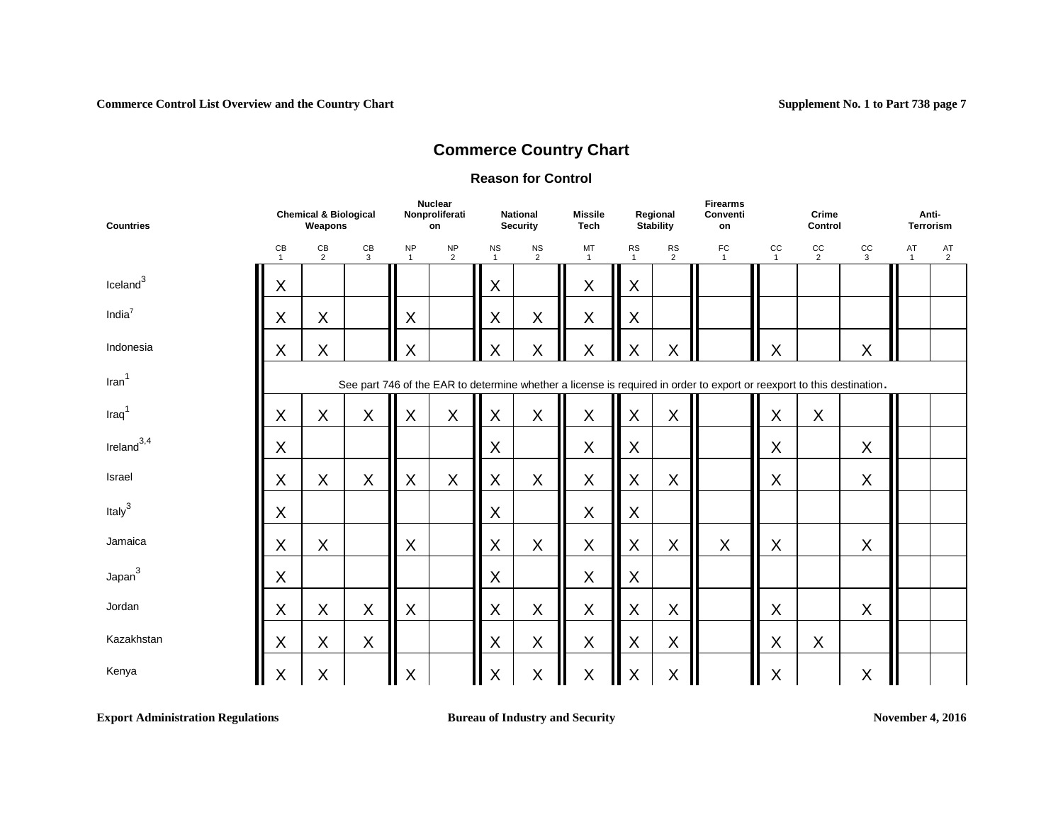### **Reason for Control**

| <b>Countries</b>     | <b>Chemical &amp; Biological</b><br>Weapons<br>CB<br>CB<br>CB<br>$\mathbf{3}$<br>2<br>$\mathbf{1}$ |         |   |                             | <b>Nuclear</b><br>Nonproliferati<br>on |                           | <b>National</b><br><b>Security</b> | <b>Missile</b><br><b>Tech</b> |                           | Regional<br><b>Stability</b> | <b>Firearms</b><br>Conventi<br>on                                                                                      |                    | Crime<br>Control     |                    | Anti-<br><b>Terrorism</b> |                      |
|----------------------|----------------------------------------------------------------------------------------------------|---------|---|-----------------------------|----------------------------------------|---------------------------|------------------------------------|-------------------------------|---------------------------|------------------------------|------------------------------------------------------------------------------------------------------------------------|--------------------|----------------------|--------------------|---------------------------|----------------------|
|                      | X<br>$\sf X$<br>X                                                                                  |         |   | <b>NP</b><br>$\overline{1}$ | <b>NP</b><br>$\overline{2}$            | <b>NS</b><br>$\mathbf{1}$ | <b>NS</b><br>$\overline{2}$        | MT<br>$\overline{1}$          | <b>RS</b><br>$\mathbf{1}$ | <b>RS</b><br>$\overline{2}$  | FC<br>$\overline{1}$                                                                                                   | CC<br>$\mathbf{1}$ | cc<br>$\overline{2}$ | cc<br>$\mathbf{3}$ | AT<br>$\mathbf{1}$        | AT<br>$\overline{2}$ |
| Iceland <sup>3</sup> |                                                                                                    |         |   |                             |                                        | X                         |                                    | $\mathsf X$                   | X                         |                              |                                                                                                                        |                    |                      |                    |                           |                      |
| India $7$            |                                                                                                    |         |   | X                           |                                        | X                         | X                                  | $\mathsf X$                   | X                         |                              |                                                                                                                        |                    |                      |                    |                           |                      |
| Indonesia            | X                                                                                                  | $\sf X$ |   | X                           |                                        | X                         | X                                  | X                             | $\sf X$                   | $\sf X$                      |                                                                                                                        | X                  |                      | X                  |                           |                      |
| $\text{Iran}^1$      |                                                                                                    |         |   |                             |                                        |                           |                                    |                               |                           |                              | See part 746 of the EAR to determine whether a license is required in order to export or reexport to this destination. |                    |                      |                    |                           |                      |
| $\text{Iraq}^1$      | X                                                                                                  | X       | X | X                           | $\mathsf X$                            | X                         | $\sf X$                            | $\mathsf X$                   | X                         | $\mathsf X$                  |                                                                                                                        | X                  | X                    |                    |                           |                      |
| $I$ reland $^{3,4}$  | X                                                                                                  |         |   |                             |                                        | X                         |                                    | X                             | X                         |                              |                                                                                                                        | X                  |                      | X                  |                           |                      |
| Israel               | X                                                                                                  | $\sf X$ | X | X                           | $\pmb{\times}$                         | X                         | $\sf X$                            | $\mathsf X$                   | X                         | $\sf X$                      |                                                                                                                        | $\sf X$            |                      | X                  |                           |                      |
| Italy $3$            | X                                                                                                  |         |   |                             |                                        | X                         |                                    | X                             | X                         |                              |                                                                                                                        |                    |                      |                    |                           |                      |
| Jamaica              | X                                                                                                  | $\sf X$ |   | $\sf X$                     |                                        | X                         | $\sf X$                            | $\mathsf X$                   | X                         | $\sf X$                      | X                                                                                                                      | X                  |                      | X                  |                           |                      |
| Japan <sup>3</sup>   | X                                                                                                  |         |   |                             |                                        | X                         |                                    | X                             | X                         |                              |                                                                                                                        |                    |                      |                    |                           |                      |
| Jordan               | X                                                                                                  | $\sf X$ | X | X                           |                                        | X                         | $\sf X$                            | $\sf X$                       | $\mathsf X$               | $\sf X$                      |                                                                                                                        | $\mathsf{X}$       |                      | X                  |                           |                      |
| Kazakhstan           | X                                                                                                  | X       | X |                             |                                        | $\mathsf X$               | $\sf X$                            | $\sf X$                       | $\mathsf X$               | $\sf X$                      |                                                                                                                        | X                  | X                    |                    |                           |                      |
| Kenya                | $\mathsf X$                                                                                        | $\sf X$ |   | $\sf X$                     |                                        | X                         | $\mathsf X$                        | $\sf X$<br>Ш                  | X                         | $\sf X$                      |                                                                                                                        | $\sf X$            |                      | $\mathsf X$        |                           |                      |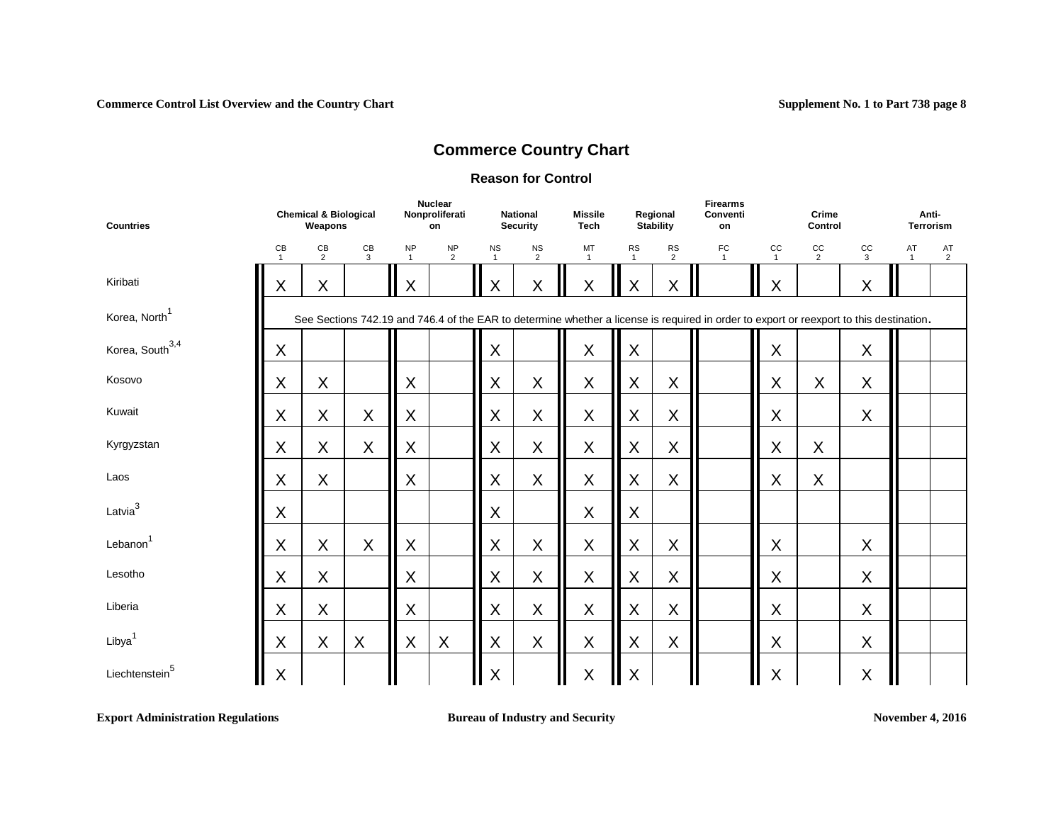#### **Reason for Control**

| <b>Countries</b>            | <b>Chemical &amp; Biological</b><br>Weapons<br>$\mathsf{CB}$<br>CB<br>CB<br>2<br>3<br>$\overline{1}$ |   |   | <b>Nuclear</b><br>Nonproliferati<br>on |                             | <b>National</b><br><b>Security</b> | <b>Missile</b><br><b>Tech</b> |                    | Regional<br>Stability     | <b>Firearms</b><br>Conventi<br>on |                                                                                                                                         | Crime<br>Control            |                      | Anti-<br><b>Terrorism</b> |                      |                      |
|-----------------------------|------------------------------------------------------------------------------------------------------|---|---|----------------------------------------|-----------------------------|------------------------------------|-------------------------------|--------------------|---------------------------|-----------------------------------|-----------------------------------------------------------------------------------------------------------------------------------------|-----------------------------|----------------------|---------------------------|----------------------|----------------------|
|                             |                                                                                                      |   |   | <b>NP</b><br>$\overline{1}$            | <b>NP</b><br>$\overline{2}$ | <b>NS</b><br>$\mathbf{1}$          | $_{\rm NS}$<br>$\overline{2}$ | MT<br>$\mathbf{1}$ | <b>RS</b><br>$\mathbf{1}$ | <b>RS</b><br>$\overline{2}$       | ${\sf FC}$                                                                                                                              | $_{\rm CC}$<br>$\mathbf{1}$ | cc<br>$\overline{2}$ | $_{\rm CC}$<br>3          | AT<br>$\overline{1}$ | AT<br>$\overline{2}$ |
| Kiribati                    | X                                                                                                    | X |   | X                                      |                             | X                                  | $\mathsf X$                   | X                  | Χ                         | X                                 |                                                                                                                                         | X                           |                      | X                         |                      |                      |
| Korea, North <sup>1</sup>   |                                                                                                      |   |   |                                        |                             |                                    |                               |                    |                           |                                   | See Sections 742.19 and 746.4 of the EAR to determine whether a license is required in order to export or reexport to this destination. |                             |                      |                           |                      |                      |
| Korea, South <sup>3,4</sup> | X                                                                                                    |   |   |                                        |                             | X                                  |                               | X                  | X                         |                                   |                                                                                                                                         | X                           |                      | X                         |                      |                      |
| Kosovo                      | $\sf X$                                                                                              | X |   | X                                      |                             | X                                  | X                             | $\sf X$            | X                         | X                                 |                                                                                                                                         | X                           | X                    | X                         |                      |                      |
| Kuwait                      | X                                                                                                    | X | X | X                                      |                             | X                                  | X                             | $\mathsf X$        | X                         | X                                 |                                                                                                                                         | X                           |                      | X                         |                      |                      |
| Kyrgyzstan                  | $\sf X$                                                                                              | X | X | X                                      |                             | X                                  | X                             | $\pmb{\mathsf{X}}$ | X                         | X                                 |                                                                                                                                         | $\sf X$                     | X                    |                           |                      |                      |
| Laos                        | $\sf X$                                                                                              | X |   | X                                      |                             | X                                  | X                             | $\mathsf X$        | X                         | X                                 |                                                                                                                                         | X                           | X                    |                           |                      |                      |
| Latvia $3$                  | $\sf X$                                                                                              |   |   |                                        |                             | X                                  |                               | $\sf X$            | $\mathsf X$               |                                   |                                                                                                                                         |                             |                      |                           |                      |                      |
| Lebanon <sup>1</sup>        | $\sf X$                                                                                              | X | X | X                                      |                             | X                                  | X                             | $\mathsf X$        | $\sf X$                   | X                                 |                                                                                                                                         | X                           |                      | X                         |                      |                      |
| Lesotho                     | $\sf X$                                                                                              | X |   | X                                      |                             | X                                  | X                             | $\mathsf X$        | $\mathsf X$               | X                                 |                                                                                                                                         | X                           |                      | X                         |                      |                      |
| Liberia                     | X                                                                                                    | X |   | X                                      |                             | X                                  | X                             | $\sf X$            | $\sf X$                   | X                                 |                                                                                                                                         | X                           |                      | X                         |                      |                      |
| Libya <sup>1</sup>          | $\sf X$                                                                                              | X | X | X                                      | X                           | X                                  | X                             | $\sf X$            | $\mathsf{X}$              | X                                 |                                                                                                                                         | $\sf X$                     |                      | X                         |                      |                      |
| Liechtenstein <sup>5</sup>  | $\sf X$                                                                                              |   |   |                                        |                             | X                                  |                               | $\sf X$            | X                         |                                   |                                                                                                                                         | X                           |                      | X                         |                      |                      |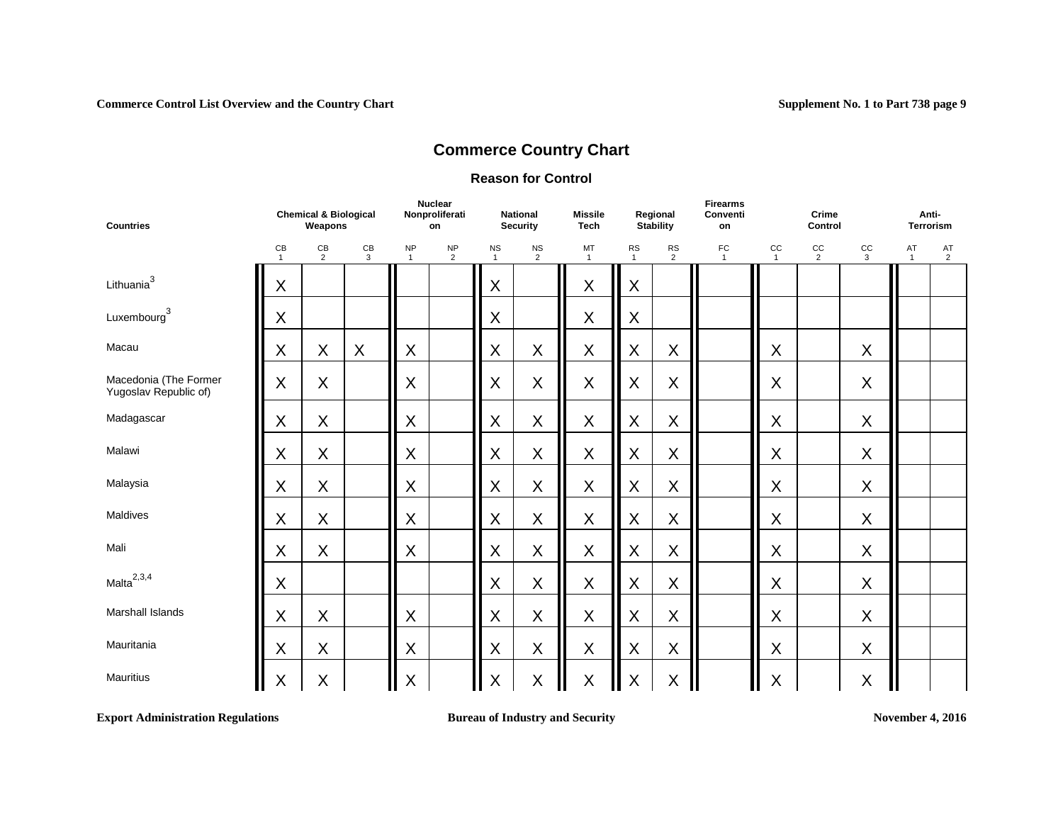#### **Reason for Control**

| <b>Countries</b>                                   | <b>Chemical &amp; Biological</b><br>Weapons<br>CB<br>CB<br>CB<br>$\overline{2}$<br>3<br>$\mathbf{1}$ |         |   | <b>Nuclear</b><br>Nonproliferati<br>on |                             | <b>National</b><br><b>Security</b> | <b>Missile</b><br><b>Tech</b> |                    | Regional<br><b>Stability</b> | <b>Firearms</b><br>Conventi<br>on |                    | Crime<br>Control   |                      | Anti-<br><b>Terrorism</b> |                    |                      |
|----------------------------------------------------|------------------------------------------------------------------------------------------------------|---------|---|----------------------------------------|-----------------------------|------------------------------------|-------------------------------|--------------------|------------------------------|-----------------------------------|--------------------|--------------------|----------------------|---------------------------|--------------------|----------------------|
|                                                    |                                                                                                      |         |   | <b>NP</b><br>$\mathbf{1}$              | <b>NP</b><br>$\overline{2}$ | <b>NS</b><br>$\mathbf{1}$          | <b>NS</b><br>$\overline{2}$   | MT<br>$\mathbf{1}$ | <b>RS</b><br>$\mathbf{1}$    | <b>RS</b><br>$\overline{2}$       | FC<br>$\mathbf{1}$ | cc<br>$\mathbf{1}$ | cc<br>$\overline{2}$ | cc<br>$\mathbf{3}$        | AT<br>$\mathbf{1}$ | AT<br>$\overline{2}$ |
| Lithuania <sup>3</sup>                             | X                                                                                                    |         |   |                                        |                             | X                                  |                               | $\sf X$            | $\sf X$                      |                                   |                    |                    |                      |                           |                    |                      |
| $\label{eq:example} {\small\textsf{Luxembourg}}^3$ | X                                                                                                    |         |   |                                        |                             | X                                  |                               | $\mathsf X$        | X                            |                                   |                    |                    |                      |                           |                    |                      |
| Macau                                              | $\sf X$                                                                                              | X       | X | X                                      |                             | X                                  | $\sf X$                       | X                  | $\sf X$                      | X                                 |                    | X                  |                      | X                         |                    |                      |
| Macedonia (The Former<br>Yugoslav Republic of)     | X                                                                                                    | X       |   | X                                      |                             | X                                  | $\mathsf X$                   | $\mathsf X$        | X                            | $\sf X$                           |                    | X                  |                      | X                         |                    |                      |
| Madagascar                                         | X                                                                                                    | X       |   | X                                      |                             | X                                  | $\mathsf X$                   | $\mathsf X$        | X                            | $\sf X$                           |                    | X                  |                      | X                         |                    |                      |
| Malawi                                             | X                                                                                                    | X       |   | $\sf X$                                |                             | X                                  | $\sf X$                       | $\mathsf X$        | $\sf X$                      | X                                 |                    | X                  |                      | X                         |                    |                      |
| Malaysia                                           | $\mathsf X$                                                                                          | X       |   | X                                      |                             | X                                  | $\mathsf X$                   | $\mathsf X$        | $\mathsf X$                  | X                                 |                    | X                  |                      | X                         |                    |                      |
| Maldives                                           | X                                                                                                    | X       |   | $\sf X$                                |                             | X                                  | X                             | X                  | $\sf X$                      | X                                 |                    | X                  |                      | X                         |                    |                      |
| Mali                                               | $\sf X$                                                                                              | X       |   | X                                      |                             | X                                  | $\sf X$                       | $\mathsf X$        | $\mathsf X$                  | $\sf X$                           |                    | $\mathsf X$        |                      | X                         |                    |                      |
| Malta <sup>2,3,4</sup>                             | $\sf X$                                                                                              |         |   |                                        |                             | X                                  | X                             | $\mathsf X$        | $\mathsf X$                  | X                                 |                    | $\sf X$            |                      | X                         |                    |                      |
| <b>Marshall Islands</b>                            | X                                                                                                    | X       |   | X                                      |                             | X                                  | X                             | X                  | $\mathsf X$                  | $\mathsf X$                       |                    | X                  |                      | X                         |                    |                      |
| Mauritania                                         | X                                                                                                    | X       |   | $\sf X$                                |                             | X                                  | X                             | $\sf X$            | X                            | X                                 |                    | $\sf X$            |                      | X                         |                    |                      |
| <b>Mauritius</b>                                   | $\mathsf X$                                                                                          | $\sf X$ |   | X                                      |                             | X                                  | X                             | $\sf X$<br>Ш       | $\sf X$                      | $\sf X$                           | Ш                  | X                  |                      | X                         |                    |                      |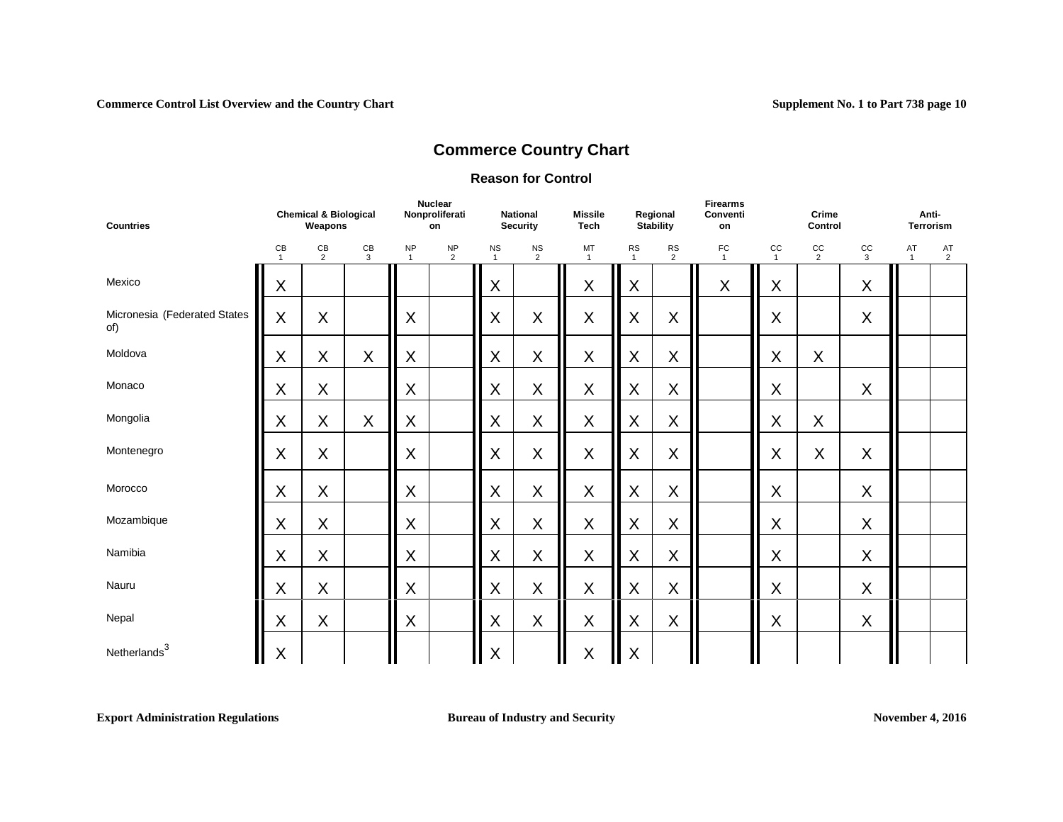### **Reason for Control**

| <b>Countries</b>                    |                                 | <b>Chemical &amp; Biological</b><br>Weapons |                    |                           | <b>Nuclear</b><br>Nonproliferati<br>on |                           | <b>National</b><br><b>Security</b> | <b>Missile</b><br><b>Tech</b> |                           | Regional<br>Stability       | <b>Firearms</b><br>Conventi<br>on |                             | Crime<br>Control     |             | Anti-              | <b>Terrorism</b> |
|-------------------------------------|---------------------------------|---------------------------------------------|--------------------|---------------------------|----------------------------------------|---------------------------|------------------------------------|-------------------------------|---------------------------|-----------------------------|-----------------------------------|-----------------------------|----------------------|-------------|--------------------|------------------|
|                                     | $\mathsf{CB}$<br>$\overline{1}$ | CB<br>$\overline{2}$                        | $\mathsf{CB}$<br>3 | <b>NP</b><br>$\mathbf{1}$ | <b>NP</b><br>2                         | <b>NS</b><br>$\mathbf{1}$ | $\frac{NS}{2}$                     | MT<br>$\mathbf{1}$            | <b>RS</b><br>$\mathbf{1}$ | <b>RS</b><br>$\overline{2}$ | FC<br>$\overline{1}$              | $_{\rm CC}$<br>$\mathbf{1}$ | CC<br>$\overline{2}$ | cc<br>3     | AT<br>$\mathbf{1}$ | $^{AT}_{2}$      |
| Mexico                              | X                               |                                             |                    |                           |                                        | Χ                         |                                    | X                             | X                         |                             | X                                 | X                           |                      | X           |                    |                  |
| Micronesia (Federated States<br>of) | X                               | X                                           |                    | X                         |                                        | X                         | X                                  | X                             | X                         | X                           |                                   | X                           |                      | $\mathsf X$ |                    |                  |
| Moldova                             | X                               | X                                           | $\sf X$            | X                         |                                        | X                         | X                                  | $\sf X$                       | $\mathsf X$               | X                           |                                   | X                           | $\sf X$              |             |                    |                  |
| Monaco                              | X                               | X                                           |                    | X                         |                                        | $\sf X$                   | X                                  | $\sf X$                       | X                         | X                           |                                   | X                           |                      | $\mathsf X$ |                    |                  |
| Mongolia                            | X                               | X                                           | $\sf X$            | X                         |                                        | X                         | X                                  | X                             | X                         | X                           |                                   | X                           | $\sf X$              |             |                    |                  |
| Montenegro                          | X                               | X                                           |                    | X                         |                                        | X                         | X                                  | X                             | X                         | X                           |                                   | $\sf X$                     | $\sf X$              | X           |                    |                  |
| Morocco                             | X                               | X                                           |                    | X                         |                                        | $\sf X$                   | X                                  | X                             | X                         | $\mathsf X$                 |                                   | X                           |                      | $\mathsf X$ |                    |                  |
| Mozambique                          | X                               | X                                           |                    | X                         |                                        | X                         | X                                  | X                             | X                         | X                           |                                   | $\sf X$                     |                      | $\mathsf X$ |                    |                  |
| Namibia                             | X                               | X                                           |                    | X                         |                                        | X                         | X                                  | X                             | X                         | X                           |                                   | X                           |                      | X           |                    |                  |
| Nauru                               | $\sf X$                         | X                                           |                    | X                         |                                        | X                         | X                                  | $\sf X$                       | X                         | $\mathsf X$                 |                                   | X                           |                      | $\mathsf X$ |                    |                  |
| Nepal                               | X                               | X                                           |                    | X                         |                                        | X                         | X                                  | X                             | X                         | X                           |                                   | X                           |                      | X           |                    |                  |
| Netherlands <sup>3</sup>            | $\sf X$                         |                                             |                    |                           |                                        | X                         |                                    | $\sf X$                       | X                         |                             |                                   |                             |                      |             |                    |                  |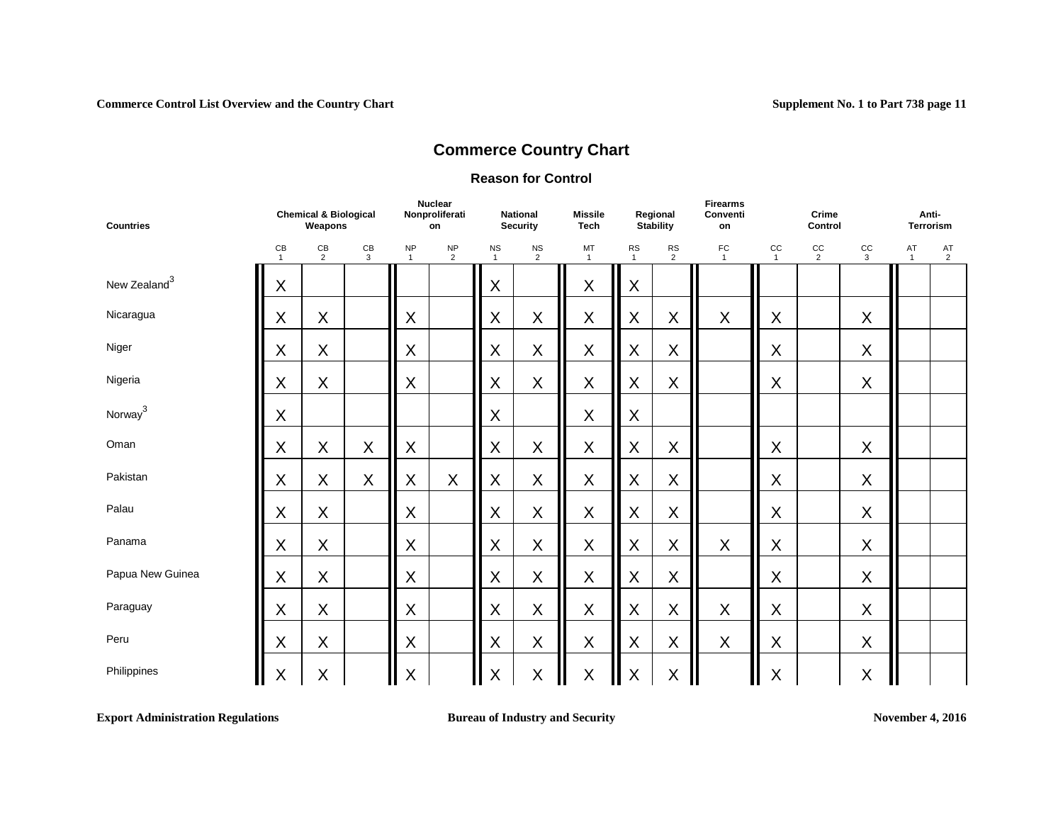#### **Reason for Control**

| <b>Countries</b>         | <b>Chemical &amp; Biological</b><br>Weapons<br>CB<br>CB<br>CB<br>$\overline{2}$<br>3<br>$\mathbf{1}$ |   |         | <b>Nuclear</b><br>Nonproliferati<br>on |                      | <b>National</b><br><b>Security</b> | <b>Missile</b><br>Tech |                    | Regional<br><b>Stability</b> | <b>Firearms</b><br>Conventi<br>on |                      | Crime<br>Control   |                      | Anti-<br>Terrorism |                    |                      |
|--------------------------|------------------------------------------------------------------------------------------------------|---|---------|----------------------------------------|----------------------|------------------------------------|------------------------|--------------------|------------------------------|-----------------------------------|----------------------|--------------------|----------------------|--------------------|--------------------|----------------------|
|                          |                                                                                                      |   |         | <b>NP</b><br>$\mathbf{1}$              | NP<br>$\overline{2}$ | <b>NS</b><br>$\mathbf{1}$          | $\frac{NS}{2}$         | MT<br>$\mathbf{1}$ | <b>RS</b><br>$\mathbf{1}$    | <b>RS</b><br>$\overline{2}$       | FC<br>$\overline{1}$ | cc<br>$\mathbf{1}$ | cc<br>$\overline{2}$ | cc<br>3            | AT<br>$\mathbf{1}$ | AT<br>$\overline{2}$ |
| New Zealand <sup>3</sup> | $\mathsf X$                                                                                          |   |         |                                        |                      | X                                  |                        | $\sf X$            | X                            |                                   |                      |                    |                      |                    |                    |                      |
| Nicaragua                | X                                                                                                    | X |         | X                                      |                      | X                                  | X                      | $\mathsf X$        | X                            | X                                 | X                    | X                  |                      | X                  |                    |                      |
| Niger                    | X                                                                                                    | X |         | X                                      |                      | X                                  | X                      | $\sf X$            | X                            | $\sf X$                           |                      | X                  |                      | X                  |                    |                      |
| Nigeria                  | X                                                                                                    | X |         | X                                      |                      | X                                  | X                      | $\sf X$            | X                            | $\sf X$                           |                      | X                  |                      | X                  |                    |                      |
| Norway <sup>3</sup>      | X                                                                                                    |   |         |                                        |                      | X                                  |                        | $\sf X$            | X                            |                                   |                      |                    |                      |                    |                    |                      |
| Oman                     | $\sf X$                                                                                              | X | X       | X                                      |                      | X                                  | X                      | $\sf X$            | X                            | $\sf X$                           |                      | X                  |                      | X                  |                    |                      |
| Pakistan                 | X                                                                                                    | X | $\sf X$ | X                                      | $\sf X$              | X                                  | X                      | $\sf X$            | $\mathsf{X}$                 | $\sf X$                           |                      | X                  |                      | X                  |                    |                      |
| Palau                    | X                                                                                                    | X |         | X                                      |                      | X                                  | X                      | $\sf X$            | X                            | $\sf X$                           |                      | X                  |                      | X                  |                    |                      |
| Panama                   | X                                                                                                    | X |         | X                                      |                      | X                                  | X                      | $\mathsf X$        | X                            | $\sf X$                           | $\mathsf X$          | X                  |                      | X                  |                    |                      |
| Papua New Guinea         | $\sf X$                                                                                              | X |         | X                                      |                      | X                                  | $\sf X$                | $\sf X$            | X                            | $\sf X$                           |                      | X                  |                      | X                  |                    |                      |
| Paraguay                 | $\mathsf X$                                                                                          | X |         | X                                      |                      | X                                  | X                      | $\sf X$            | X                            | $\sf X$                           | $\mathsf X$          | X                  |                      | X                  |                    |                      |
| Peru                     | X                                                                                                    | X |         | X                                      |                      | X                                  | X                      | $\sf X$            | X                            | $\sf X$                           | X                    | X                  |                      | X                  |                    |                      |
| Philippines              | X                                                                                                    | X |         | $\sf X$                                |                      | X                                  | X                      | $\sf X$<br>Ш       | X<br>╻╻                      | $\sf X$                           |                      | X                  |                      | $\sf X$            |                    |                      |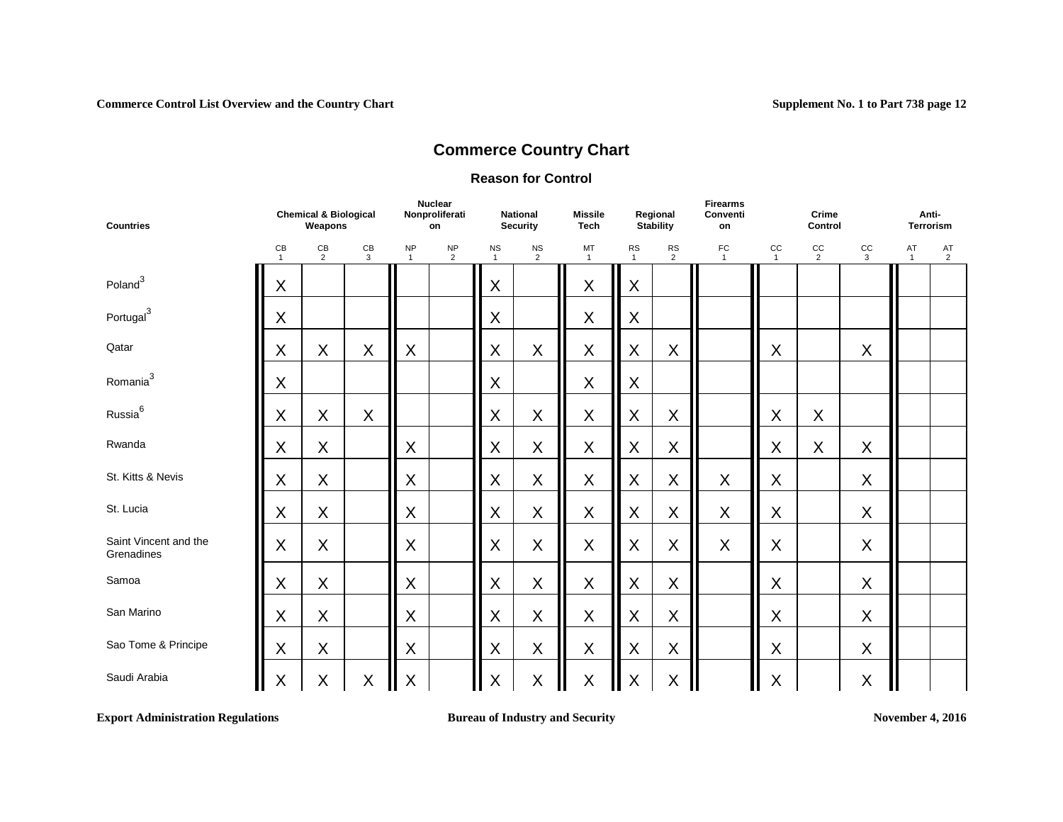#### **Reason for Control**

| <b>Countries</b>                    | <b>Chemical &amp; Biological</b><br>Weapons<br>CB<br>$rac{CB}{3}$<br>$\mathsf{CB}$<br>2<br>$\mathbf{1}$ |   |                             |                             | <b>Nuclear</b><br>Nonproliferati<br>on |                             | <b>National</b><br><b>Security</b> | <b>Missile</b><br><b>Tech</b> |                | Regional<br><b>Stability</b> | <b>Firearms</b><br>Conventi<br>on |                      | Crime<br>Control            |                    | Anti-<br>Terrorism   |  |
|-------------------------------------|---------------------------------------------------------------------------------------------------------|---|-----------------------------|-----------------------------|----------------------------------------|-----------------------------|------------------------------------|-------------------------------|----------------|------------------------------|-----------------------------------|----------------------|-----------------------------|--------------------|----------------------|--|
|                                     | X                                                                                                       |   | <b>NP</b><br>$\overline{1}$ | <b>NP</b><br>$\overline{2}$ | <b>NS</b><br>$\mathbf{1}$              | <b>NS</b><br>$\overline{2}$ | MT<br>$\overline{1}$               | <b>RS</b><br>$\mathbf{1}$     | $\frac{RS}{2}$ | FC<br>$\overline{1}$         | CC<br>$\mathbf{1}$                | cc<br>$\overline{2}$ | $_{\rm CC}$<br>$\mathbf{3}$ | AT<br>$\mathbf{1}$ | AT<br>$\overline{2}$ |  |
| Poland <sup>3</sup>                 |                                                                                                         |   |                             |                             |                                        | $\mathsf X$                 |                                    | $\sf X$                       | X              |                              |                                   |                      |                             |                    |                      |  |
| Portugal <sup>3</sup>               | X                                                                                                       |   |                             |                             |                                        | X                           |                                    | $\mathsf X$                   | X              |                              |                                   |                      |                             |                    |                      |  |
| Qatar                               | $\sf X$                                                                                                 | X | $\boldsymbol{\mathsf{X}}$   | $\mathsf X$                 |                                        | $\mathsf X$                 | $\sf X$                            | $\mathsf X$                   | $\mathsf X$    | $\sf X$                      |                                   | X                    |                             | X                  |                      |  |
| Romania <sup>3</sup>                | X                                                                                                       |   |                             |                             |                                        | X                           |                                    | $\mathsf X$                   | X              |                              |                                   |                      |                             |                    |                      |  |
| Russia <sup>6</sup>                 | $\sf X$                                                                                                 | X | X                           |                             |                                        | $\mathsf X$                 | $\mathsf X$                        | $\mathsf X$                   | $\mathsf X$    | $\mathsf X$                  |                                   | X                    | $\mathsf X$                 |                    |                      |  |
| Rwanda                              | X                                                                                                       | X |                             | X                           |                                        | X                           | $\sf X$                            | $\mathsf X$                   | X              | $\mathsf X$                  |                                   | X                    | X                           | X                  |                      |  |
| St. Kitts & Nevis                   | X                                                                                                       | X |                             | Χ                           |                                        | $\mathsf X$                 | $\mathsf X$                        | $\mathsf X$                   | $\mathsf X$    | $\sf X$                      | $\mathsf X$                       | X                    |                             | X                  |                      |  |
| St. Lucia                           | X                                                                                                       | X |                             | X                           |                                        | $\mathsf X$                 | $\sf X$                            | $\sf X$                       | $\mathsf X$    | $\mathsf X$                  | $\sf X$                           | X                    |                             | X                  |                      |  |
| Saint Vincent and the<br>Grenadines | X                                                                                                       | X |                             | X                           |                                        | $\sf X$                     | $\sf X$                            | $\sf X$                       | $\mathsf X$    | $\sf X$                      | $\sf X$                           | $\sf X$              |                             | X                  |                      |  |
| Samoa                               | X                                                                                                       | X |                             | $\sf X$                     |                                        | $\mathsf X$                 | $\sf X$                            | $\mathsf X$                   | X              | $\sf X$                      |                                   | X                    |                             | X                  |                      |  |
| San Marino                          | X                                                                                                       | X |                             | X                           |                                        | $\mathsf X$                 | $\mathsf X$                        | X                             | $\mathsf X$    | $\sf X$                      |                                   | X                    |                             | X                  |                      |  |
| Sao Tome & Principe                 | X                                                                                                       | X |                             | $\sf X$                     |                                        | $\mathsf X$                 | $\sf X$                            | X                             | X              | $\sf X$                      |                                   | $\sf X$              |                             | X                  |                      |  |
| Saudi Arabia                        | $\mathsf X$                                                                                             | X | $\sf X$                     | $\sf X$                     |                                        | $\mathsf X$                 | $\mathsf X$                        | $\sf X$                       | $\sf X$        | $\sf X$                      |                                   | $\sf X$              |                             | X                  |                      |  |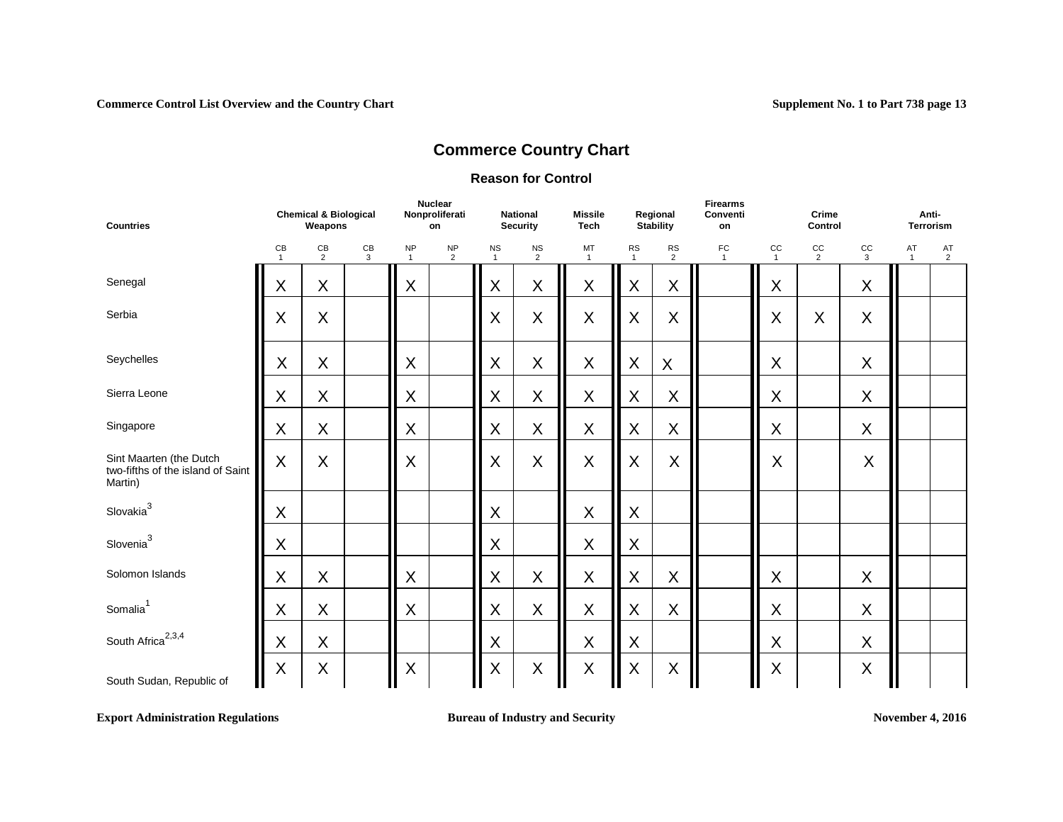#### **Reason for Control**

| <b>Countries</b>                                                        | <b>Chemical &amp; Biological</b><br>Weapons |                      |         | <b>Nuclear</b><br>Nonproliferati<br>on |                      | <b>National</b><br><b>Security</b> |                           | <b>Missile</b><br><b>Tech</b> | Regional<br><b>Stability</b> |                | <b>Firearms</b><br>Conventi<br>on | Crime<br>Control   |                      |                    | Anti-<br><b>Terrorism</b> |         |  |
|-------------------------------------------------------------------------|---------------------------------------------|----------------------|---------|----------------------------------------|----------------------|------------------------------------|---------------------------|-------------------------------|------------------------------|----------------|-----------------------------------|--------------------|----------------------|--------------------|---------------------------|---------|--|
|                                                                         | CB<br>$\mathbf{1}$                          | CB<br>$\overline{2}$ | CB<br>3 | <b>NP</b><br>$\mathbf{1}$              | NP<br>$\overline{2}$ | <b>NS</b><br>$\mathbf{1}$          | $\frac{NS}{2}$            | MT<br>$\mathbf{1}$            | <b>RS</b><br>$\mathbf{1}$    | <b>RS</b><br>2 | FC<br>$\mathbf{1}$                | CC<br>$\mathbf{1}$ | cc<br>$\overline{2}$ | cc<br>$\mathbf{3}$ | AT<br>$\mathbf{1}$        | AT<br>2 |  |
| Senegal                                                                 | $\mathsf X$                                 | X                    |         | X                                      |                      | $\sf X$                            | X                         | $\mathsf X$                   | $\sf X$                      | X              |                                   | $\mathsf X$        |                      | $\sf X$            |                           |         |  |
| Serbia                                                                  | X                                           | X                    |         |                                        |                      | X                                  | X                         | X                             | $\mathsf{X}$                 | X              |                                   | X                  | X                    | $\mathsf{X}$       |                           |         |  |
| Seychelles                                                              | $\sf X$                                     | X                    |         | X                                      |                      | $\sf X$                            | X                         | X                             | $\sf X$                      | X              |                                   | $\mathsf X$        |                      | $\sf X$            |                           |         |  |
| Sierra Leone                                                            | X                                           | X                    |         | X                                      |                      | $\sf X$                            | X                         | $\mathsf X$                   | $\mathsf X$                  | X              |                                   | X                  |                      | $\sf X$            |                           |         |  |
| Singapore                                                               | $\mathsf X$                                 | X                    |         | X                                      |                      | $\sf X$                            | $\boldsymbol{\mathsf{X}}$ | $\boldsymbol{\mathsf{X}}$     | $\mathsf X$                  | $\mathsf X$    |                                   | $\mathsf X$        |                      | $\sf X$            |                           |         |  |
| Sint Maarten (the Dutch<br>two-fifths of the island of Saint<br>Martin) | $\sf X$                                     | X                    |         | X                                      |                      | X                                  | $\sf X$                   | X                             | X                            | $\sf X$        |                                   | X                  |                      | $\sf X$            |                           |         |  |
| Slovakia <sup>3</sup>                                                   | X                                           |                      |         |                                        |                      | $\sf X$                            |                           | $\mathsf X$                   | X                            |                |                                   |                    |                      |                    |                           |         |  |
| Slovenia <sup>3</sup>                                                   | X                                           |                      |         |                                        |                      | X                                  |                           | $\mathsf X$                   | X                            |                |                                   |                    |                      |                    |                           |         |  |
| Solomon Islands                                                         | X                                           | X                    |         | X                                      |                      | $\sf X$                            | X                         | X                             | X                            | X              |                                   | X                  |                      | $\sf X$            |                           |         |  |
| Somalia <sup>1</sup>                                                    | X                                           | X                    |         | X                                      |                      | $\sf X$                            | X                         | $\mathsf X$                   | X                            | $\sf X$        |                                   | $\sf X$            |                      | $\sf X$            |                           |         |  |
| South Africa <sup>2,3,4</sup>                                           | $\mathsf X$                                 | X                    |         |                                        |                      | $\sf X$                            |                           | $\mathsf X$                   | $\mathsf X$                  |                |                                   | X                  |                      | $\mathsf X$        |                           |         |  |
| South Sudan, Republic of                                                | $\sf X$                                     | X                    |         | X                                      |                      | X                                  | X                         | $\mathsf X$                   | $\sf X$                      | $\mathsf X$    |                                   | $\sf X$            |                      | $\sf X$            |                           |         |  |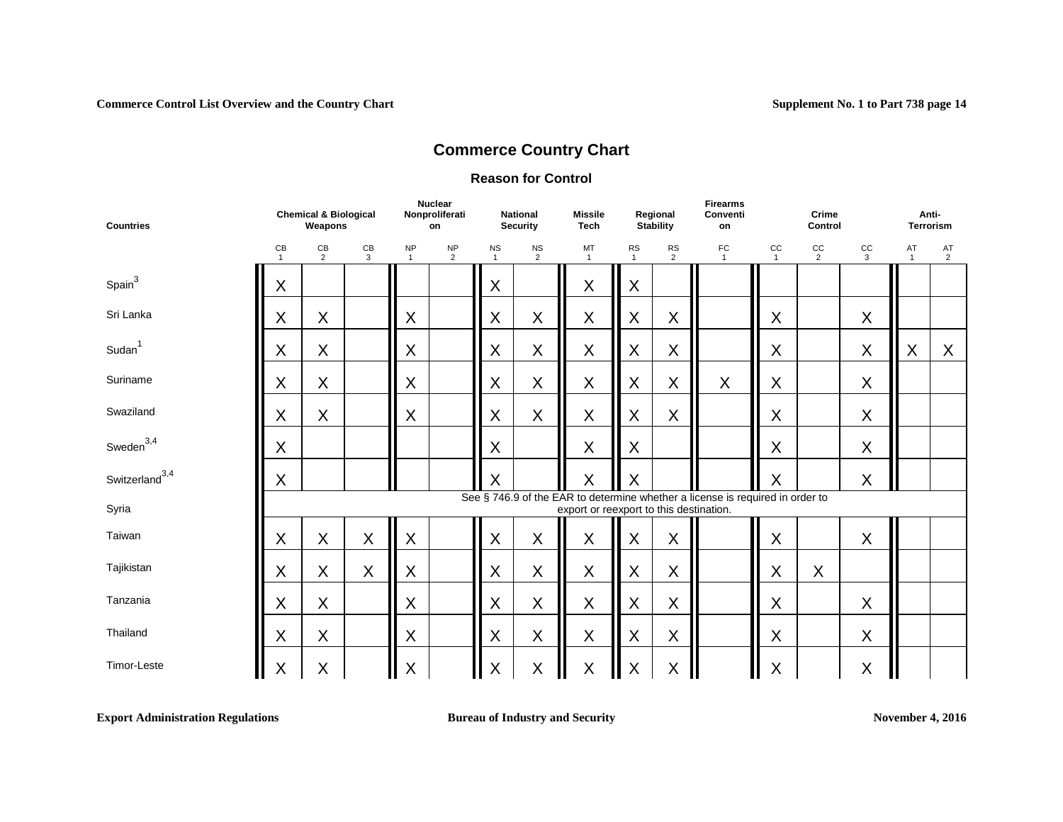#### **Reason for Control**

| <b>Countries</b>           | <b>Chemical &amp; Biological</b><br>Weapons |                      |         | <b>Nuclear</b><br>Nonproliferati<br>on |                             | <b>National</b><br><b>Security</b> |                               | <b>Missile</b><br><b>Tech</b>           | Regional<br><b>Stability</b> |                | <b>Firearms</b><br>Conventi<br>on                                             |                    | Crime<br>Control     |             |                    | Anti-<br><b>Terrorism</b> |  |  |
|----------------------------|---------------------------------------------|----------------------|---------|----------------------------------------|-----------------------------|------------------------------------|-------------------------------|-----------------------------------------|------------------------------|----------------|-------------------------------------------------------------------------------|--------------------|----------------------|-------------|--------------------|---------------------------|--|--|
|                            | CB<br>$\mathbf{1}$                          | CB<br>$\overline{2}$ | CB<br>3 | <b>NP</b><br>$\overline{1}$            | <b>NP</b><br>$\overline{2}$ | <b>NS</b><br>$\mathbf{1}$          | $_{\rm NS}$<br>$\overline{2}$ | MT<br>$\mathbf{1}$                      | <b>RS</b><br>$\mathbf{1}$    | <b>RS</b><br>2 | FC<br>$\overline{1}$                                                          | cc<br>$\mathbf{1}$ | CC<br>$\overline{2}$ | cc<br>3     | AT<br>$\mathbf{1}$ | AT<br>$\overline{2}$      |  |  |
| Spain <sup>3</sup>         | X                                           |                      |         |                                        |                             | X                                  |                               | $\mathsf X$                             | X                            |                |                                                                               |                    |                      |             |                    |                           |  |  |
| Sri Lanka                  | $\mathsf X$                                 | X                    |         | X                                      |                             | X                                  | X                             | $\mathsf X$                             | $\mathsf X$                  | X              |                                                                               | X                  |                      | $\sf X$     |                    |                           |  |  |
| Sudan <sup>1</sup>         | X                                           | X                    |         | X                                      |                             | X                                  | X                             | $\mathsf X$                             | X                            | X              |                                                                               | X                  |                      | $\mathsf X$ | X                  | X                         |  |  |
| Suriname                   | X                                           | X                    |         | X                                      |                             | $\sf X$                            | $\mathsf X$                   | $\mathsf X$                             | $\mathsf X$                  | X              | X                                                                             | X                  |                      | $\mathsf X$ |                    |                           |  |  |
| Swaziland                  | $\sf X$                                     | X                    |         | X                                      |                             | X                                  | $\mathsf X$                   | $\mathsf X$                             | $\mathsf X$                  | X              |                                                                               | X                  |                      | $\mathsf X$ |                    |                           |  |  |
| Sweden $^{3,4}$            | X                                           |                      |         |                                        |                             | X                                  |                               | $\mathsf X$                             | X                            |                |                                                                               | X                  |                      | X           |                    |                           |  |  |
| Switzerland <sup>3,4</sup> | X                                           |                      |         |                                        |                             | X                                  |                               | Χ                                       | $\sf X$                      |                |                                                                               | $\sf X$            |                      | X           |                    |                           |  |  |
| Syria                      |                                             |                      |         |                                        |                             |                                    |                               | export or reexport to this destination. |                              |                | See § 746.9 of the EAR to determine whether a license is required in order to |                    |                      |             |                    |                           |  |  |
| Taiwan                     | X                                           | X                    | X       | X                                      |                             | X                                  | X                             | X                                       | X                            | $\sf X$        |                                                                               | X                  |                      | $\sf X$     |                    |                           |  |  |
| Tajikistan                 | X                                           | X                    | X       | X                                      |                             | X                                  | $\sf X$                       | X                                       | X                            | X              |                                                                               | X                  | X                    |             |                    |                           |  |  |
| Tanzania                   | X                                           | X                    |         | X                                      |                             | X                                  | X                             | X                                       | X                            | $\sf X$        |                                                                               | X                  |                      | $\sf X$     |                    |                           |  |  |
| Thailand                   | $\sf X$                                     | X                    |         | X                                      |                             | X                                  | $\sf X$                       | X                                       | X                            | $\mathsf X$    |                                                                               | X                  |                      | $\sf X$     |                    |                           |  |  |
| Timor-Leste<br>I           | $\sf X$                                     | X                    |         | X                                      |                             | X                                  | X                             | $\mathsf X$<br>Ш                        | $\sf X$                      | X              |                                                                               | X                  |                      | X           | Ш                  |                           |  |  |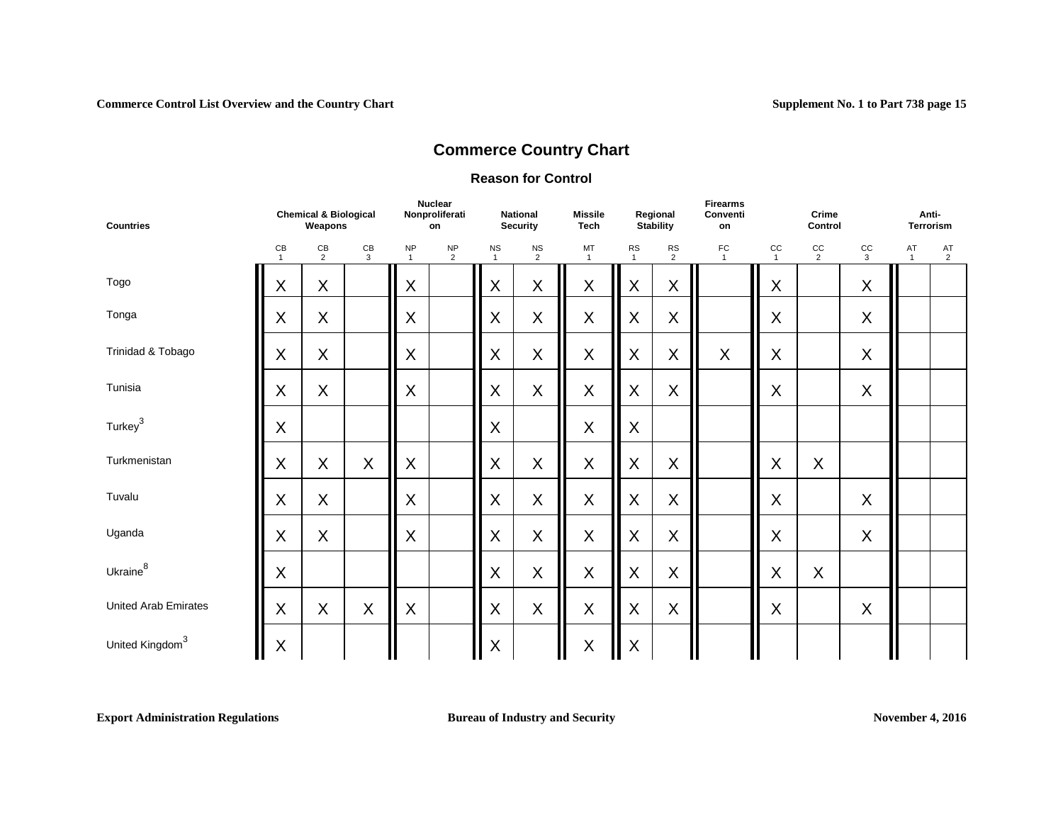### **Reason for Control**

| <b>Countries</b>            | <b>Chemical &amp; Biological</b><br>Weapons |              |         | <b>Nuclear</b><br>Nonproliferati<br>on |                             | <b>National</b><br><b>Security</b> |                  | <b>Missile</b><br><b>Tech</b> | Regional<br><b>Stability</b> |                              | <b>Firearms</b><br>Conventi<br>on | Crime<br>Control              |                      |                           | Anti-<br><b>Terrorism</b> |                      |  |
|-----------------------------|---------------------------------------------|--------------|---------|----------------------------------------|-----------------------------|------------------------------------|------------------|-------------------------------|------------------------------|------------------------------|-----------------------------------|-------------------------------|----------------------|---------------------------|---------------------------|----------------------|--|
|                             | CB<br>$\overline{1}$                        | $rac{CB}{2}$ | CB<br>3 | <b>NP</b><br>$\overline{1}$            | <b>NP</b><br>$\overline{2}$ | <b>NS</b><br>$\mathbf{1}$          | $_{\rm NS}$<br>2 | MT<br>$\overline{1}$          | <b>RS</b><br>$\mathbf{1}$    | ${\sf RS}$<br>$\overline{2}$ | FC<br>$\overline{1}$              | $_{\rm CC}$<br>$\overline{1}$ | cc<br>$\overline{2}$ | cc<br>3                   | AT<br>$\mathbf{1}$        | AT<br>$\overline{2}$ |  |
| Togo                        | X                                           | X            |         | X                                      |                             | X                                  | X                | X                             | X                            | X                            |                                   | X                             |                      | X                         |                           |                      |  |
| Tonga                       | $\sf X$                                     | X            |         | X                                      |                             | X                                  | $\sf X$          | $\mathsf X$                   | X                            | $\sf X$                      |                                   | $\sf X$                       |                      | $\sf X$                   |                           |                      |  |
| Trinidad & Tobago           | X                                           | X            |         | X                                      |                             | X                                  | $\sf X$          | $\mathsf X$                   | $\mathsf X$                  | $\sf X$                      | $\boldsymbol{\mathsf{X}}$         | X                             |                      | $\sf X$                   |                           |                      |  |
| Tunisia                     | X                                           | X            |         | X                                      |                             | X                                  | X                | X                             | X                            | $\boldsymbol{\mathsf{X}}$    |                                   | X                             |                      | $\sf X$                   |                           |                      |  |
| Turkey <sup>3</sup>         | X                                           |              |         |                                        |                             | X                                  |                  | X                             | X                            |                              |                                   |                               |                      |                           |                           |                      |  |
| Turkmenistan                | X                                           | X            | X       | X                                      |                             | X                                  | X                | X                             | X                            | X                            |                                   | X                             | X                    |                           |                           |                      |  |
| Tuvalu                      | X                                           | X            |         | X                                      |                             | X                                  | X                | X                             | X                            | X                            |                                   | X                             |                      | $\boldsymbol{\mathsf{X}}$ |                           |                      |  |
| Uganda                      | $\sf X$                                     | X            |         | X                                      |                             | X                                  | X                | $\mathsf X$                   | X                            | $\sf X$                      |                                   | X                             |                      | $\sf X$                   |                           |                      |  |
| Ukraine <sup>8</sup>        | $\sf X$                                     |              |         |                                        |                             | X                                  | $\sf X$          | X                             | X                            | $\sf X$                      |                                   | X                             | X                    |                           |                           |                      |  |
| <b>United Arab Emirates</b> | X                                           | X            | $\sf X$ | X                                      |                             | X                                  | X                | $\mathsf X$                   | X                            | $\mathsf X$                  |                                   | X                             |                      | $\sf X$                   |                           |                      |  |
| United Kingdom <sup>3</sup> | $\mathsf X$                                 |              |         |                                        |                             | X                                  |                  | $\mathsf X$                   | $\pmb{\mathsf{X}}$           |                              |                                   |                               |                      |                           |                           |                      |  |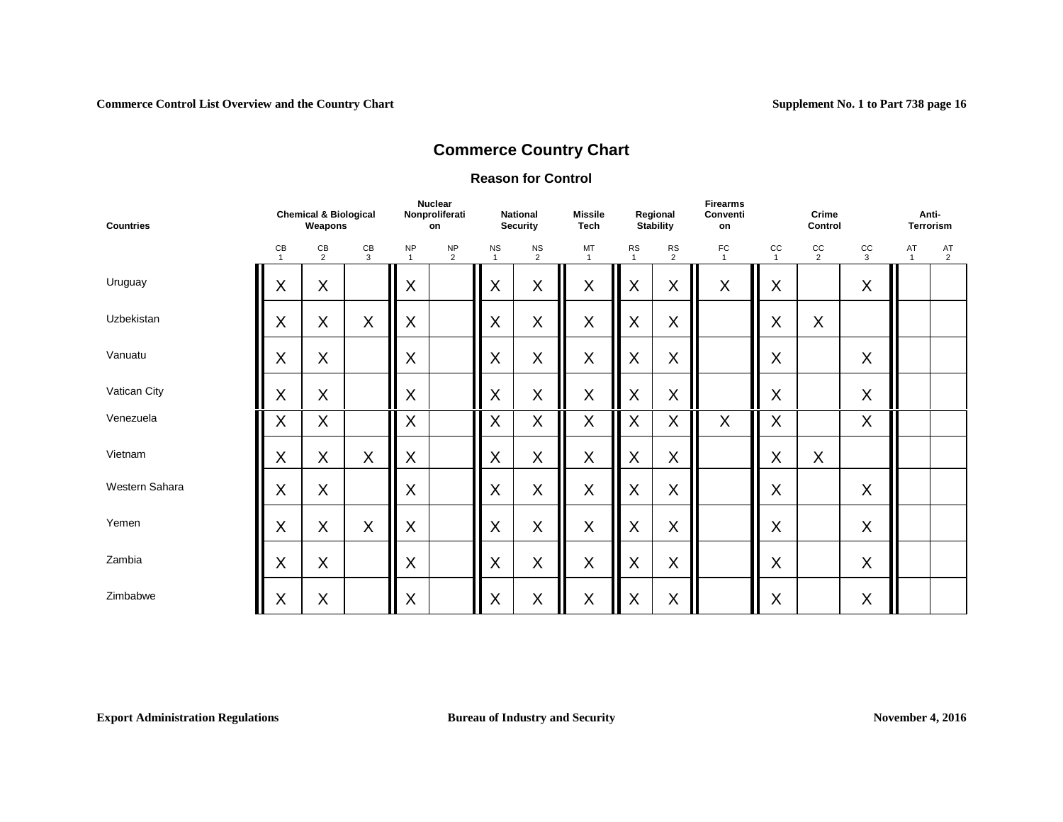### **Reason for Control**

| <b>Countries</b> |         | <b>Chemical &amp; Biological</b><br>Weapons |                    | <b>Nuclear</b><br>Nonproliferati<br>on |                             | <b>National</b><br><b>Security</b> |                             | <b>Missile</b><br><b>Tech</b> | Regional<br><b>Stability</b> |                              | <b>Firearms</b><br>Conventi<br>on |                    | Crime<br>Control     |                             |                    | Anti-<br><b>Terrorism</b> |  |  |
|------------------|---------|---------------------------------------------|--------------------|----------------------------------------|-----------------------------|------------------------------------|-----------------------------|-------------------------------|------------------------------|------------------------------|-----------------------------------|--------------------|----------------------|-----------------------------|--------------------|---------------------------|--|--|
|                  | CB      | CB<br>$\overline{2}$                        | $\mathsf{CB}$<br>3 | <b>NP</b><br>$\overline{1}$            | <b>NP</b><br>$\overline{2}$ | <b>NS</b><br>$\overline{1}$        | <b>NS</b><br>$\overline{2}$ | MT<br>$\mathbf{1}$            | ${\sf RS}$<br>$\mathbf{1}$   | ${\sf RS}$<br>$\overline{2}$ | ${\sf FC}$<br>$\overline{1}$      | CC<br>$\mathbf{1}$ | CC<br>$\overline{2}$ | $_{\rm CC}$<br>$\mathbf{3}$ | AT<br>$\mathbf{1}$ | AT<br>2                   |  |  |
| Uruguay          | X       | X                                           |                    | X                                      |                             | X                                  | X                           | X                             | X                            | X                            | X                                 | X                  |                      | X                           |                    |                           |  |  |
| Uzbekistan       | $\sf X$ | X                                           | $\sf X$            | X                                      |                             | X                                  | X                           | $\sf X$                       | X                            | X                            |                                   | $\sf X$            | X                    |                             |                    |                           |  |  |
| Vanuatu          | X       | X                                           |                    | X                                      |                             | X                                  | X                           | X                             | X                            | X                            |                                   | $\sf X$            |                      | X                           |                    |                           |  |  |
| Vatican City     | $\sf X$ | X                                           |                    | X                                      |                             | X                                  | X                           | $\sf X$                       | X                            | $\sf X$                      |                                   | $\sf X$            |                      | $\sf X$                     |                    |                           |  |  |
| Venezuela        | X       | X                                           |                    | X                                      |                             | X                                  | X                           | X                             | X                            | X                            | X                                 | $\sf X$            |                      | X                           |                    |                           |  |  |
| Vietnam          | X       | X                                           | X                  | X                                      |                             | X                                  | X                           | X                             | $\sf X$                      | X                            |                                   | X                  | X                    |                             |                    |                           |  |  |
| Western Sahara   | X       | $\sf X$                                     |                    | X                                      |                             | X                                  | X                           | X                             | X                            | X                            |                                   | X                  |                      | X                           |                    |                           |  |  |
| Yemen            | X       | X                                           | X                  | X                                      |                             | X                                  | X                           | X                             | X                            | X                            |                                   | X                  |                      | X                           |                    |                           |  |  |
| Zambia           | X       | X                                           |                    | X                                      |                             | X                                  | X                           | X                             | X                            | X                            |                                   | X                  |                      | X                           |                    |                           |  |  |
| Zimbabwe         | X       | X                                           |                    | X                                      |                             | X                                  | X                           | X                             | X                            | X                            |                                   | X                  |                      | X                           |                    |                           |  |  |